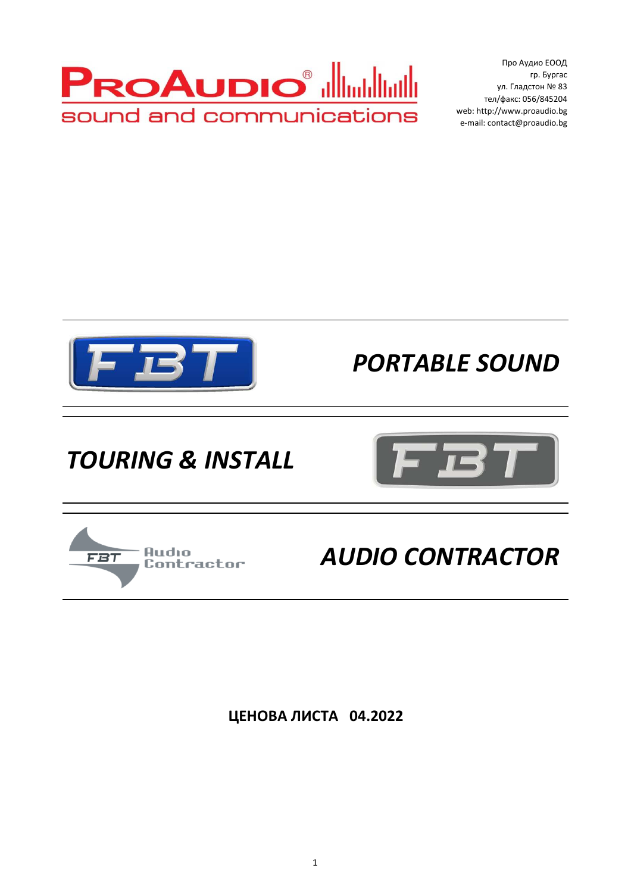

 Про Аудио ЕООД гр. Бургас ул. Гладстон № 83 тел/факс: 056/845204 web: http://www.proaudio.bg e-mail: contact@proaudio.bg



*PORTABLE SOUND*

## *TOURING & INSTALL*



## Audio **FBT** Contractor

*AUDIO CONTRACTOR*

**ЦЕНОВА ЛИСТА 04.2022**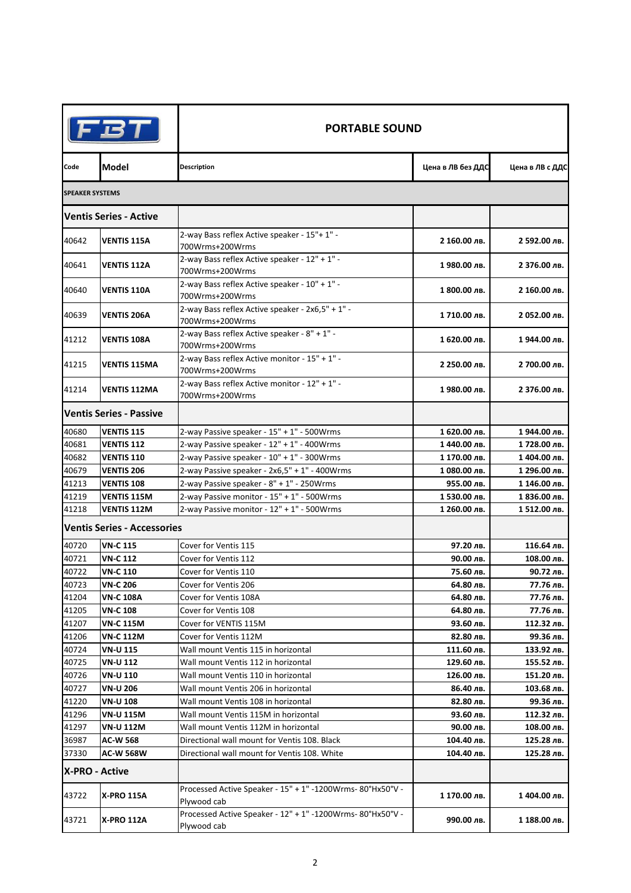| FBT                    |                                    | <b>PORTABLE SOUND</b>                                                              |                   |                 |  |
|------------------------|------------------------------------|------------------------------------------------------------------------------------|-------------------|-----------------|--|
| Code                   | Model                              | <b>Description</b>                                                                 | Цена в ЛВ без ДДС | Цена в ЛВ с ДДС |  |
| <b>SPEAKER SYSTEMS</b> |                                    |                                                                                    |                   |                 |  |
|                        | <b>Ventis Series - Active</b>      |                                                                                    |                   |                 |  |
| 40642                  | VENTIS 115A                        | 2-way Bass reflex Active speaker - 15"+ 1" -<br>700Wrms+200Wrms                    | 2 160.00 лв.      | 2 592.00 лв.    |  |
| 40641                  | VENTIS 112A                        | 2-way Bass reflex Active speaker - $12^{\circ}$ + $1^{\circ}$ -<br>700Wrms+200Wrms | 1980.00 лв.       | 2 376.00 лв.    |  |
| 40640                  | VENTIS 110A                        | 2-way Bass reflex Active speaker - 10" + 1" -<br>700Wrms+200Wrms                   | 1 800.00 лв.      | 2 160.00 лв.    |  |
| 40639                  | <b>VENTIS 206A</b>                 | 2-way Bass reflex Active speaker - 2x6,5" + 1" -<br>700Wrms+200Wrms                | 1710.00 лв.       | 2 052.00 лв.    |  |
| 41212                  | <b>VENTIS 108A</b>                 | 2-way Bass reflex Active speaker - 8" + 1" -<br>700Wrms+200Wrms                    | 1 620.00 лв.      | 1944.00 лв.     |  |
| 41215                  | VENTIS 115MA                       | 2-way Bass reflex Active monitor - 15" + 1" -<br>700Wrms+200Wrms                   | 2 250.00 лв.      | 2 700.00 лв.    |  |
| 41214                  | <b>VENTIS 112MA</b>                | 2-way Bass reflex Active monitor - 12" + 1" -<br>700Wrms+200Wrms                   | 1980.00 лв.       | 2 376.00 лв.    |  |
|                        | <b>Ventis Series - Passive</b>     |                                                                                    |                   |                 |  |
| 40680                  | <b>VENTIS 115</b>                  | 2-way Passive speaker - 15" + 1" - 500Wrms                                         | 1 620.00 лв.      | 1944.00 лв.     |  |
| 40681                  | <b>VENTIS 112</b>                  | 2-way Passive speaker - 12" + 1" - 400Wrms                                         | 1 440.00 лв.      | 1728.00 лв.     |  |
| 40682                  | <b>VENTIS 110</b>                  | 2-way Passive speaker - 10" + 1" - 300Wrms                                         | 1 170.00 лв.      | 1 404.00 лв.    |  |
| 40679                  | <b>VENTIS 206</b>                  | 2-way Passive speaker - 2x6,5" + 1" - 400Wrms                                      | 1080.00 лв.       | 1 296.00 лв.    |  |
| 41213                  | <b>VENTIS 108</b>                  | 2-way Passive speaker - 8" + 1" - 250Wrms                                          | 955.00 лв.        | 1 146.00 лв.    |  |
| 41219                  | <b>VENTIS 115M</b>                 | 2-way Passive monitor - 15" + 1" - 500Wrms                                         | 1530.00 лв.       | 1 836.00 лв.    |  |
| 41218                  | VENTIS 112M                        | 2-way Passive monitor - 12" + 1" - 500Wrms                                         | 1 260.00 лв.      | 1 512.00 лв.    |  |
|                        | <b>Ventis Series - Accessories</b> |                                                                                    |                   |                 |  |
| 40720                  | VN-C 115                           | Cover for Ventis 115                                                               | 97.20 лв.         | 116.64 лв.      |  |
| 40721                  | <b>VN-C 112</b>                    | Cover for Ventis 112                                                               | 90.00 лв.         | 108.00 лв.      |  |
| 40722                  | VN-C 110                           | Cover for Ventis 110                                                               | 75.60 лв.         | 90.72 лв.       |  |
| 40723                  | <b>VN-C 206</b>                    | Cover for Ventis 206                                                               | 64.80 лв.         | 77.76 лв.       |  |
| 41204                  | VN-C 108A                          | Cover for Ventis 108A                                                              | 64.80 лв.         | 77.76 лв.       |  |
| 41205                  | VN-C 108                           | Cover for Ventis 108                                                               | 64.80 лв.         | 77.76 лв.       |  |
| 41207                  | VN-C 115M                          | Cover for VENTIS 115M                                                              | 93.60 лв.         | 112.32 лв.      |  |
| 41206                  | VN-C 112M                          | Cover for Ventis 112M                                                              | 82.80 лв.         | 99.36 лв.       |  |
| 40724                  | VN-U 115                           | Wall mount Ventis 115 in horizontal                                                | 111.60 лв.        | 133.92 лв.      |  |
| 40725                  | VN-U 112                           | Wall mount Ventis 112 in horizontal                                                | 129.60 лв.        | 155.52 лв.      |  |
| 40726                  | VN-U 110                           | Wall mount Ventis 110 in horizontal                                                | 126.00 лв.        | 151.20 лв.      |  |
| 40727                  | VN-U 206                           | Wall mount Ventis 206 in horizontal                                                | 86.40 лв.         | 103.68 лв.      |  |
| 41220                  | VN-U 108                           | Wall mount Ventis 108 in horizontal                                                | 82.80 лв.         | 99.36 лв.       |  |
| 41296                  | VN-U 115M                          | Wall mount Ventis 115M in horizontal                                               | 93.60 лв.         | 112.32 лв.      |  |
| 41297                  | VN-U 112M                          | Wall mount Ventis 112M in horizontal                                               | 90.00 лв.         | 108.00 лв.      |  |
| 36987                  | AC-W 568                           | Directional wall mount for Ventis 108. Black                                       | 104.40 лв.        | 125.28 лв.      |  |
| 37330                  | AC-W 568W                          | Directional wall mount for Ventis 108. White                                       | 104.40 лв.        | 125.28 лв.      |  |
| X-PRO - Active         |                                    |                                                                                    |                   |                 |  |
| 43722                  | X-PRO 115A                         | Processed Active Speaker - 15" + 1" -1200Wrms-80°Hx50°V -<br>Plywood cab           | 1 170.00 лв.      | 1 404.00 лв.    |  |
| 43721                  | <b>X-PRO 112A</b>                  | Processed Active Speaker - 12" + 1" -1200Wrms-80°Hx50°V -<br>Plywood cab           | 990.00 лв.        | 1 188.00 лв.    |  |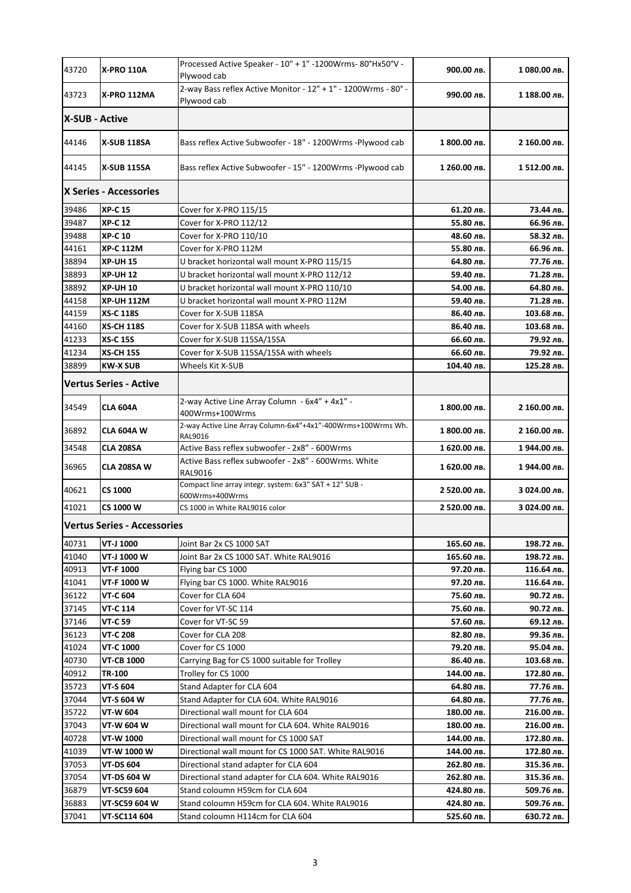| 43720          | <b>X-PRO 110A</b>                  | Processed Active Speaker - 10" + 1" -1200Wrms-80°Hx50°V -<br>Plywood cab       | 900.00 лв.   | 1080.00 лв.  |
|----------------|------------------------------------|--------------------------------------------------------------------------------|--------------|--------------|
| 43723          | X-PRO 112MA                        | 2-way Bass reflex Active Monitor - 12" + 1" - 1200Wrms - 80° -<br>Plywood cab  | 990.00 лв.   | 1 188.00 лв. |
| X-SUB - Active |                                    |                                                                                |              |              |
| 44146          | <b>X-SUB 118SA</b>                 | Bass reflex Active Subwoofer - 18" - 1200Wrms -Plywood cab                     | 1 800.00 лв. | 2 160.00 лв. |
| 44145          | <b>X-SUB 115SA</b>                 | Bass reflex Active Subwoofer - 15" - 1200Wrms -Plywood cab                     | 1 260.00 лв. | 1512.00 лв.  |
|                | X Series - Accessories             |                                                                                |              |              |
| 39486          | <b>XP-C 15</b>                     | Cover for X-PRO 115/15                                                         | 61.20 лв.    | 73.44 лв.    |
| 39487          | <b>XP-C 12</b>                     | Cover for X-PRO 112/12                                                         | 55.80 лв.    | 66.96 лв.    |
| 39488          | <b>XP-C 10</b>                     | Cover for X-PRO 110/10                                                         | 48.60 лв.    | 58.32 лв.    |
| 44161          | <b>XP-C 112M</b>                   | Cover for X-PRO 112M                                                           | 55.80 лв.    | 66.96 лв.    |
| 38894          | <b>XP-UH 15</b>                    | U bracket horizontal wall mount X-PRO 115/15                                   | 64.80 лв.    | 77.76 лв.    |
| 38893          | <b>XP-UH 12</b>                    | U bracket horizontal wall mount X-PRO 112/12                                   | 59.40 лв.    | 71.28 лв.    |
| 38892          | <b>XP-UH10</b>                     | U bracket horizontal wall mount X-PRO 110/10                                   | 54.00 лв.    | 64.80 лв.    |
| 44158          | <b>XP-UH 112M</b>                  | U bracket horizontal wall mount X-PRO 112M                                     | 59.40 лв.    | 71.28 лв.    |
| 44159          | <b>XS-C 118S</b>                   | Cover for X-SUB 118SA                                                          | 86.40 лв.    | 103.68 лв.   |
| 44160          | <b>XS-CH 118S</b>                  | Cover for X-SUB 118SA with wheels                                              | 86.40 лв.    | 103.68 лв.   |
| 41233          | <b>XS-C 15S</b>                    | Cover for X-SUB 115SA/15SA                                                     | 66.60 лв.    | 79.92 лв.    |
| 41234          | <b>XS-CH 15S</b>                   | Cover for X-SUB 115SA/15SA with wheels                                         | 66.60 лв.    | 79.92 лв.    |
| 38899          | <b>KW-X SUB</b>                    | Wheels Kit X-SUB                                                               | 104.40 лв.   | 125.28 лв.   |
|                | <b>Vertus Series - Active</b>      |                                                                                |              |              |
| 34549          | <b>CLA 604A</b>                    | 2-way Active Line Array Column - 6x4" + 4x1" -<br>400Wrms+100Wrms              | 1 800.00 лв. | 2 160.00 лв. |
| 36892          | CLA 604A W                         | 2-way Active Line Array Column-6x4"+4x1"-400Wrms+100Wrms Wh.<br><b>RAL9016</b> | 1 800.00 лв. | 2 160.00 лв. |
| 34548          | <b>CLA 208SA</b>                   | Active Bass reflex subwoofer - 2x8" - 600Wrms                                  | 1 620.00 лв. | 1944.00 лв.  |
| 36965          | CLA 208SA W                        | Active Bass reflex subwoofer - 2x8" - 600Wrms. White<br>RAL9016                | 1 620.00 лв. | 1 944.00 лв. |
| 40621          | <b>CS 1000</b>                     | Compact line array integr. system: 6x3" SAT + 12" SUB -<br>600Wrms+400Wrms     | 2 520.00 лв. | 3 024.00 лв. |
| 41021          | CS 1000 W                          | CS 1000 in White RAL9016 color                                                 | 2 520.00 лв. | 3 024.00 лв. |
|                | <b>Vertus Series - Accessories</b> |                                                                                |              |              |
| 40731          | VT-J 1000                          | Joint Bar 2x CS 1000 SAT                                                       | 165.60 лв.   | 198.72 лв.   |
| 41040          | VT-J 1000 W                        | Joint Bar 2x CS 1000 SAT. White RAL9016                                        | 165.60 лв.   | 198.72 лв.   |
| 40913          | VT-F 1000                          | Flying bar CS 1000                                                             | 97.20 лв.    | 116.64 лв.   |
| 41041          | VT-F 1000 W                        | Flying bar CS 1000. White RAL9016                                              | 97.20 лв.    | 116.64 лв.   |
| 36122          | VT-C 604                           | Cover for CLA 604                                                              | 75.60 лв.    | 90.72 лв.    |
| 37145          | VT-C 114                           | Cover for VT-SC 114                                                            | 75.60 лв.    | 90.72 лв.    |
| 37146          | VT-C 59                            | Cover for VT-SC 59                                                             | 57.60 лв.    | 69.12 лв.    |
| 36123          | VT-C 208                           | Cover for CLA 208                                                              | 82.80 лв.    | 99.36 лв.    |
| 41024          | VT-C 1000                          | Cover for CS 1000                                                              | 79.20 лв.    | 95.04 лв.    |
| 40730          | <b>VT-CB 1000</b>                  | Carrying Bag for CS 1000 suitable for Trolley                                  | 86.40 лв.    | 103.68 лв.   |
| 40912          | TR-100                             | Trolley for CS 1000                                                            | 144.00 лв.   | 172.80 лв.   |
| 35723          | VT-S 604                           | Stand Adapter for CLA 604                                                      | 64.80 лв.    | 77.76 лв.    |
| 37044          | VT-S 604 W                         | Stand Adapter for CLA 604. White RAL9016                                       | 64.80 лв.    | 77.76 лв.    |
| 35722          | VT-W 604                           | Directional wall mount for CLA 604                                             | 180.00 лв.   | 216.00 лв.   |
| 37043          | VT-W 604 W                         | Directional wall mount for CLA 604. White RAL9016                              | 180.00 лв.   | 216.00 лв.   |
| 40728          | VT-W 1000                          | Directional wall mount for CS 1000 SAT                                         | 144.00 лв.   | 172.80 лв.   |
| 41039          | VT-W 1000 W                        | Directional wall mount for CS 1000 SAT. White RAL9016                          | 144.00 лв.   | 172.80 лв.   |
| 37053          | VT-DS 604                          | Directional stand adapter for CLA 604                                          | 262.80 лв.   | 315.36 лв.   |
| 37054          | VT-DS 604 W                        | Directional stand adapter for CLA 604. White RAL9016                           | 262.80 лв.   | 315.36 лв.   |
| 36879          | VT-SC59 604                        | Stand coloumn H59cm for CLA 604                                                | 424.80 лв.   | 509.76 лв.   |
| 36883          | VT-SC59 604 W                      | Stand coloumn H59cm for CLA 604. White RAL9016                                 | 424.80 лв.   | 509.76 лв.   |
| 37041          | VT-SC114 604                       | Stand coloumn H114cm for CLA 604                                               | 525.60 лв.   | 630.72 лв.   |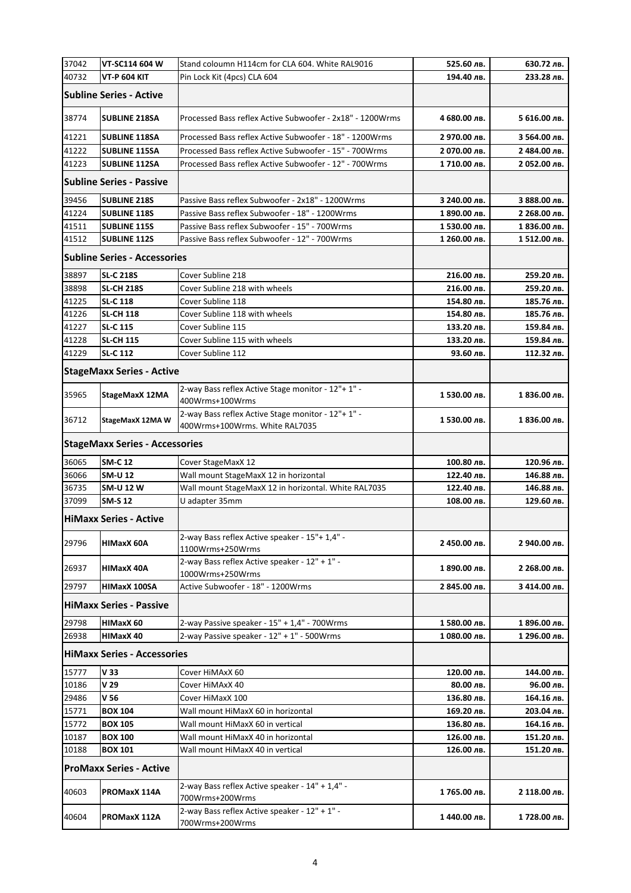| 37042 | VT-SC114 604 W                        | Stand coloumn H114cm for CLA 604. White RAL9016                                      | 525.60 лв.   | 630.72 лв.   |
|-------|---------------------------------------|--------------------------------------------------------------------------------------|--------------|--------------|
| 40732 | <b>VT-P 604 KIT</b>                   | Pin Lock Kit (4pcs) CLA 604                                                          | 194.40 лв.   | 233.28 лв.   |
|       | <b>Subline Series - Active</b>        |                                                                                      |              |              |
| 38774 | <b>SUBLINE 218SA</b>                  | Processed Bass reflex Active Subwoofer - 2x18" - 1200Wrms                            | 4 680.00 лв. | 5 616.00 лв. |
| 41221 | <b>SUBLINE 118SA</b>                  | Processed Bass reflex Active Subwoofer - 18" - 1200Wrms                              | 2 970.00 лв. | 3 564.00 лв. |
| 41222 | <b>SUBLINE 115SA</b>                  | Processed Bass reflex Active Subwoofer - 15" - 700Wrms                               | 2 070.00 лв. | 2 484.00 лв. |
| 41223 | <b>SUBLINE 112SA</b>                  | Processed Bass reflex Active Subwoofer - 12" - 700Wrms                               | 1710.00 лв.  | 2 052.00 лв. |
|       | <b>Subline Series - Passive</b>       |                                                                                      |              |              |
| 39456 | <b>SUBLINE 218S</b>                   | Passive Bass reflex Subwoofer - 2x18" - 1200Wrms                                     | 3 240.00 лв. | З 888.00 лв. |
| 41224 | <b>SUBLINE 118S</b>                   | Passive Bass reflex Subwoofer - 18" - 1200Wrms                                       | 1 890.00 лв. | 2 268.00 лв. |
| 41511 | <b>SUBLINE 115S</b>                   | Passive Bass reflex Subwoofer - 15" - 700Wrms                                        | 1530.00 лв.  | 1 836.00 лв. |
| 41512 | <b>SUBLINE 112S</b>                   | Passive Bass reflex Subwoofer - 12" - 700Wrms                                        | 1 260.00 лв. | 1512.00 лв.  |
|       | <b>Subline Series - Accessories</b>   |                                                                                      |              |              |
| 38897 | <b>SL-C 218S</b>                      | Cover Subline 218                                                                    | 216.00 лв.   | 259.20 лв.   |
| 38898 | <b>SL-CH 218S</b>                     | Cover Subline 218 with wheels                                                        | 216.00 лв.   | 259.20 лв.   |
| 41225 | <b>SL-C 118</b>                       | Cover Subline 118                                                                    | 154.80 лв.   | 185.76 лв.   |
| 41226 | <b>SL-CH 118</b>                      | Cover Subline 118 with wheels                                                        | 154.80 лв.   | 185.76 лв.   |
| 41227 | <b>SL-C 115</b>                       | Cover Subline 115                                                                    | 133.20 лв.   | 159.84 лв.   |
| 41228 | <b>SL-CH 115</b>                      | Cover Subline 115 with wheels                                                        | 133.20 лв.   | 159.84 лв.   |
| 41229 | <b>SL-C 112</b>                       | Cover Subline 112                                                                    | 93.60 лв.    | 112.32 лв.   |
|       | <b>StageMaxx Series - Active</b>      |                                                                                      |              |              |
| 35965 | StageMaxX 12MA                        | 2-way Bass reflex Active Stage monitor - 12"+ 1" -<br>400Wrms+100Wrms                | 1 530.00 лв. | 1 836.00 лв. |
| 36712 | StageMaxX 12MA W                      | 2-way Bass reflex Active Stage monitor - 12"+ 1" -<br>400Wrms+100Wrms. White RAL7035 | 1 530.00 лв. | 1 836.00 лв. |
|       | <b>StageMaxx Series - Accessories</b> |                                                                                      |              |              |
| 36065 | <b>SM-C 12</b>                        | Cover StageMaxX 12                                                                   | 100.80 лв.   | 120.96 лв.   |
| 36066 | <b>SM-U 12</b>                        | Wall mount StageMaxX 12 in horizontal                                                | 122.40 лв.   | 146.88 лв.   |
| 36735 | <b>SM-U 12 W</b>                      | Wall mount StageMaxX 12 in horizontal. White RAL7035                                 | 122.40 лв.   | 146.88 лв.   |
| 37099 | <b>SM-S 12</b>                        | U adapter 35mm                                                                       | 108.00 лв.   | 129.60 лв.   |
|       | <b>HiMaxx Series - Active</b>         |                                                                                      |              |              |
| 29796 | <b>HIMaxX 60A</b>                     | 2-way Bass reflex Active speaker - 15"+ 1,4" -<br>1100Wrms+250Wrms                   | 2 450.00 лв. | 2 940.00 лв. |
| 26937 | HIMaxX 40A                            | 2-way Bass reflex Active speaker - 12" + 1" -<br>1000Wrms+250Wrms                    | 1 890.00 лв. | 2 268.00 лв. |
| 29797 | HIMaxX 100SA                          | Active Subwoofer - 18" - 1200Wrms                                                    | 2 845.00 лв. | 3 414.00 лв. |
|       | <b>HiMaxx Series - Passive</b>        |                                                                                      |              |              |
| 29798 | HIMaxX 60                             | 2-way Passive speaker - 15" + 1,4" - 700Wrms                                         | 1580.00 лв.  | 1 896.00 лв. |
| 26938 | <b>HIMaxX 40</b>                      | 2-way Passive speaker - 12" + 1" - 500Wrms                                           | 1080.00 лв.  | 1 296.00 лв. |
|       | <b>HiMaxx Series - Accessories</b>    |                                                                                      |              |              |
| 15777 | V <sub>33</sub>                       | Cover HiMAxX 60                                                                      | 120.00 лв.   | 144.00 лв.   |
| 10186 | V 29                                  | Cover HiMAxX 40                                                                      | 80.00 лв.    | 96.00 лв.    |
| 29486 | V <sub>56</sub>                       | Cover HiMaxX 100                                                                     | 136.80 лв.   | 164.16 лв.   |
| 15771 | <b>BOX 104</b>                        | Wall mount HiMaxX 60 in horizontal                                                   | 169.20 лв.   | 203.04 лв.   |
| 15772 | <b>BOX 105</b>                        | Wall mount HiMaxX 60 in vertical                                                     | 136.80 лв.   | 164.16 лв.   |
| 10187 | <b>BOX 100</b>                        | Wall mount HiMaxX 40 in horizontal                                                   | 126.00 лв.   | 151.20 лв.   |
| 10188 | <b>BOX 101</b>                        | Wall mount HiMaxX 40 in vertical                                                     | 126.00 лв.   | 151.20 лв.   |
|       | <b>ProMaxx Series - Active</b>        |                                                                                      |              |              |
| 40603 | PROMaxX 114A                          | 2-way Bass reflex Active speaker - 14" + 1,4" -<br>700Wrms+200Wrms                   | 1765.00 лв.  | 2 118.00 лв. |
| 40604 | PROMaxX 112A                          | 2-way Bass reflex Active speaker - 12" + 1" -<br>700Wrms+200Wrms                     | 1440.00 лв.  | 1728.00 лв.  |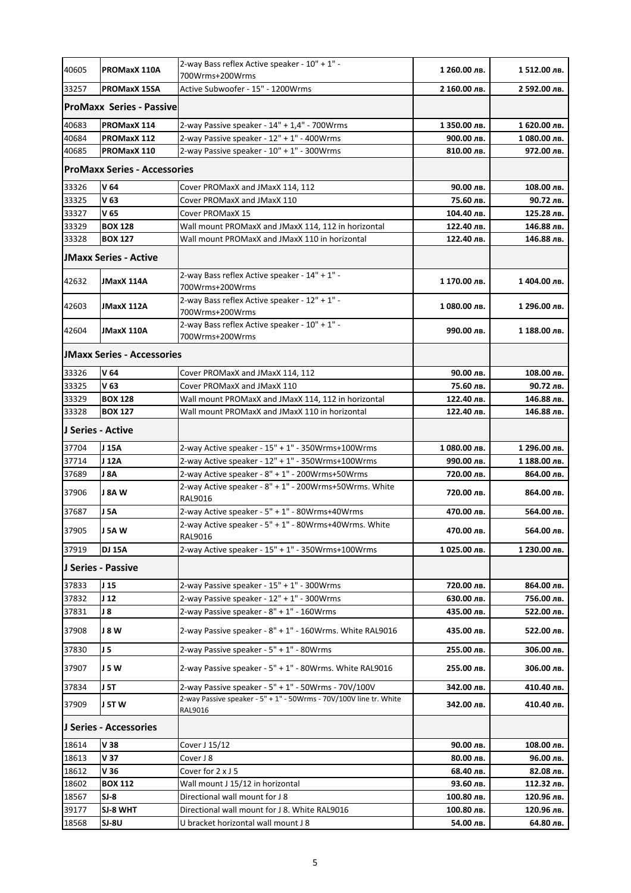| 40605 | PROMaxX 110A                        | 2-way Bass reflex Active speaker - 10" + 1" -<br>700Wrms+200Wrms                     | 1 260.00 лв.            | 1512.00 лв.             |
|-------|-------------------------------------|--------------------------------------------------------------------------------------|-------------------------|-------------------------|
| 33257 | PROMaxX 15SA                        | Active Subwoofer - 15" - 1200Wrms                                                    | 2 160.00 лв.            | 2 592.00 лв.            |
|       | <b>ProMaxx Series - Passive</b>     |                                                                                      |                         |                         |
| 40683 | PROMaxX 114                         | 2-way Passive speaker - 14" + 1,4" - 700Wrms                                         | 1 350.00 лв.            | 1 620.00 лв.            |
| 40684 | PROMaxX 112                         | 2-way Passive speaker - 12" + 1" - 400Wrms                                           | 900.00 лв.              | 1080.00 лв.             |
| 40685 | PROMaxX 110                         | 2-way Passive speaker - 10" + 1" - 300Wrms                                           | 810.00 лв.              | 972.00 лв.              |
|       | <b>ProMaxx Series - Accessories</b> |                                                                                      |                         |                         |
| 33326 | V 64                                | Cover PROMaxX and JMaxX 114, 112                                                     | 90.00 лв.               | 108.00 лв.              |
| 33325 | V <sub>63</sub>                     | Cover PROMaxX and JMaxX 110                                                          | 75.60 лв.               | 90.72 лв.               |
| 33327 | V <sub>65</sub>                     | Cover PROMaxX 15                                                                     | 104.40 лв.              | 125.28 лв.              |
| 33329 | <b>BOX 128</b>                      | Wall mount PROMaxX and JMaxX 114, 112 in horizontal                                  | 122.40 лв.              | 146.88 лв.              |
| 33328 | <b>BOX 127</b>                      | Wall mount PROMaxX and JMaxX 110 in horizontal                                       | 122.40 лв.              | 146.88 лв.              |
|       | <b>JMaxx Series - Active</b>        |                                                                                      |                         |                         |
|       |                                     | 2-way Bass reflex Active speaker - 14" + 1" -                                        |                         |                         |
| 42632 | JMaxX 114A                          | 700Wrms+200Wrms                                                                      | 1 170.00 лв.            | 1404.00 лв.             |
|       |                                     | 2-way Bass reflex Active speaker - 12" + 1" -                                        |                         |                         |
| 42603 | JMaxX 112A                          | 700Wrms+200Wrms                                                                      | 1 080.00 лв.            | 1 296.00 лв.            |
| 42604 | JMaxX 110A                          | 2-way Bass reflex Active speaker - 10" + 1" -<br>700Wrms+200Wrms                     | 990.00 лв.              | 1 188.00 лв.            |
|       | <b>JMaxx Series - Accessories</b>   |                                                                                      |                         |                         |
| 33326 | V <sub>64</sub>                     |                                                                                      |                         |                         |
| 33325 | V 63                                | Cover PROMaxX and JMaxX 114, 112                                                     | 90.00 лв.               | 108.00 лв.              |
| 33329 | <b>BOX 128</b>                      | Cover PROMaxX and JMaxX 110<br>Wall mount PROMaxX and JMaxX 114, 112 in horizontal   | 75.60 лв.<br>122.40 лв. | 90.72 лв.<br>146.88 лв. |
| 33328 |                                     | Wall mount PROMaxX and JMaxX 110 in horizontal                                       | 122.40 лв.              | 146.88 лв.              |
|       | <b>BOX 127</b>                      |                                                                                      |                         |                         |
|       | J Series - Active                   |                                                                                      |                         |                         |
| 37704 | J 15A                               | $2$ -way Active speaker - $15" + 1"$ - 350Wrms+100Wrms                               | 1080.00 лв.             | 1 296.00 лв.            |
| 37714 | J 12A                               | 2-way Active speaker - 12" + 1" - 350Wrms+100Wrms                                    | 990.00 лв.              | 1 188.00 лв.            |
| 37689 | J 8A                                | 2-way Active speaker - 8" + 1" - 200Wrms+50Wrms                                      | 720.00 лв.              | 864.00 лв.              |
| 37906 | J 8A W                              | 2-way Active speaker - 8" + 1" - 200Wrms+50Wrms. White<br>RAL9016                    | 720.00 лв.              | 864.00 лв.              |
| 37687 | J 5A                                | 2-way Active speaker - 5" + 1" - 80Wrms+40Wrms                                       | 470.00 лв.              | 564.00 лв.              |
| 37905 | J 5A W                              | 2-way Active speaker - 5" + 1" - 80Wrms+40Wrms. White<br>RAL9016                     | 470.00 лв.              | 564.00 лв.              |
| 37919 | <b>DJ 15A</b>                       | 2-way Active speaker - 15" + 1" - 350Wrms+100Wrms                                    | 1025.00 лв.             | 1 230.00 лв.            |
|       | J Series - Passive                  |                                                                                      |                         |                         |
| 37833 | J <sub>15</sub>                     | 2-way Passive speaker - 15" + 1" - 300Wrms                                           | 720.00 лв.              | 864.00 лв.              |
| 37832 | J <sub>12</sub>                     | 2-way Passive speaker - 12" + 1" - 300Wrms                                           | 630.00 лв.              | 756.00 лв.              |
| 37831 | J 8                                 | 2-way Passive speaker - 8" + 1" - 160Wrms                                            | 435.00 лв.              | 522.00 лв.              |
| 37908 | J 8 W                               | 2-way Passive speaker - 8" + 1" - 160Wrms. White RAL9016                             | 435.00 лв.              | 522.00 лв.              |
| 37830 | J 5                                 | 2-way Passive speaker - 5" + 1" - 80Wrms                                             | 255.00 лв.              | 306.00 лв.              |
| 37907 | J 5 W                               | 2-way Passive speaker - 5" + 1" - 80Wrms. White RAL9016                              | 255.00 лв.              | 306.00 лв.              |
| 37834 | J 5T                                | 2-way Passive speaker - 5" + 1" - 50Wrms - 70V/100V                                  | 342.00 лв.              | 410.40 лв.              |
| 37909 | J 5T W                              | 2-way Passive speaker - 5" + 1" - 50Wrms - 70V/100V line tr. White                   | 342.00 лв.              | 410.40 лв.              |
|       | J Series - Accessories              | RAL9016                                                                              |                         |                         |
|       |                                     |                                                                                      |                         |                         |
| 18614 | V 38                                | Cover J 15/12                                                                        | 90.00 лв.               | 108.00 лв.              |
| 18613 | V 37                                | Cover J 8                                                                            | 80.00 лв.               | 96.00 лв.               |
| 18612 | V 36                                | Cover for 2 x J 5                                                                    | 68.40 лв.               | 82.08 лв.               |
| 18602 | <b>BOX 112</b>                      | Wall mount J 15/12 in horizontal                                                     | 93.60 лв.               | 112.32 лв.              |
| 18567 | $SI-8$<br>SJ-8 WHT                  | Directional wall mount for J 8                                                       | 100.80 лв.              | 120.96 лв.              |
| 39177 | SJ-8U                               | Directional wall mount for J 8. White RAL9016<br>U bracket horizontal wall mount J 8 | 100.80 лв.              | 120.96 лв.              |
| 18568 |                                     |                                                                                      | 54.00 лв.               | 64.80 лв.               |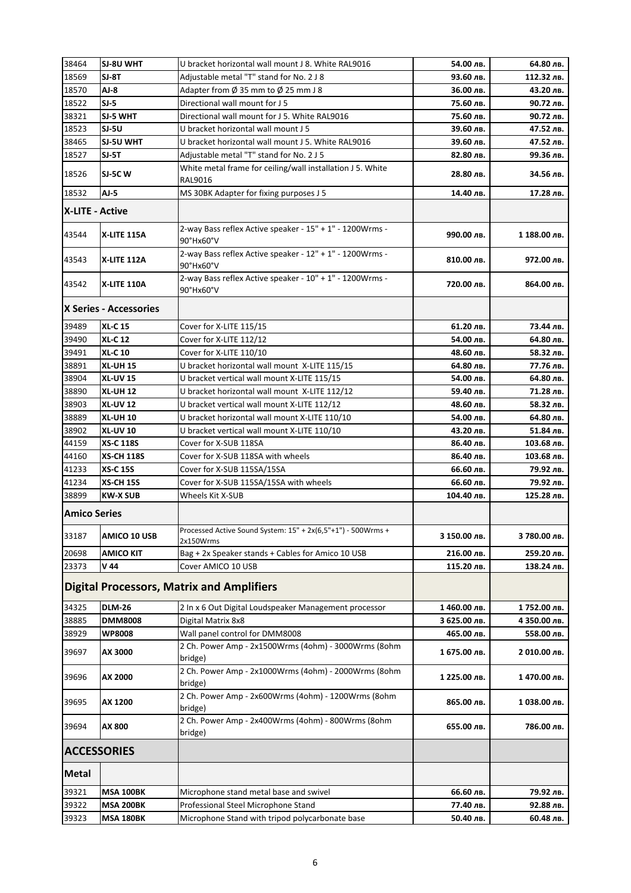| 38464                  | SJ-8U WHT              | U bracket horizontal wall mount J 8. White RAL9016                        | 54.00 лв.    | 64.80 лв.    |
|------------------------|------------------------|---------------------------------------------------------------------------|--------------|--------------|
| 18569                  | $SI-8T$                | Adjustable metal "T" stand for No. 2 J 8                                  | 93.60 лв.    | 112.32 лв.   |
| 18570                  | AJ-8                   | Adapter from $\emptyset$ 35 mm to $\emptyset$ 25 mm J 8                   | 36.00 лв.    | 43.20 лв.    |
| 18522                  | $SI-5$                 | Directional wall mount for J 5                                            | 75.60 лв.    | 90.72 лв.    |
| 38321                  | SJ-5 WHT               | Directional wall mount for J 5. White RAL9016                             | 75.60 лв.    | 90.72 лв.    |
| 18523                  | SJ-5U                  | U bracket horizontal wall mount J 5                                       | 39.60 лв.    | 47.52 лв.    |
| 38465                  | <b>SJ-5U WHT</b>       | U bracket horizontal wall mount J 5. White RAL9016                        | 39.60 лв.    | 47.52 лв.    |
| 18527                  | $SI-5T$                | Adjustable metal "T" stand for No. 2 J 5                                  | 82.80 лв.    | 99.36 лв.    |
| 18526                  | <b>SJ-5C W</b>         | White metal frame for ceiling/wall installation J 5. White                | 28.80 лв.    |              |
|                        |                        | RAL9016                                                                   |              | 34.56 лв.    |
| 18532                  | $AJ-5$                 | MS 30BK Adapter for fixing purposes J 5                                   | 14.40 лв.    | 17.28 лв.    |
| <b>X-LITE - Active</b> |                        |                                                                           |              |              |
| 43544                  | X-LITE 115A            | 2-way Bass reflex Active speaker - 15" + 1" - 1200Wrms -<br>90°Hx60°V     | 990.00 лв.   | 1 188.00 лв. |
| 43543                  | X-LITE 112A            | 2-way Bass reflex Active speaker - 12" + 1" - 1200Wrms -<br>90°Hx60°V     | 810.00 лв.   | 972.00 лв.   |
| 43542                  | <b>X-LITE 110A</b>     | 2-way Bass reflex Active speaker - 10" + 1" - 1200Wrms -<br>90°Hx60°V     | 720.00 лв.   | 864.00 лв.   |
|                        | X Series - Accessories |                                                                           |              |              |
| 39489                  | <b>XL-C15</b>          | Cover for X-LITE 115/15                                                   | 61.20 лв.    | 73.44 лв.    |
| 39490                  | <b>XL-C12</b>          | Cover for X-LITE 112/12                                                   | 54.00 лв.    | 64.80 лв.    |
| 39491                  | <b>XL-C10</b>          | Cover for X-LITE 110/10                                                   | 48.60 лв.    | 58.32 лв.    |
| 38891                  | <b>XL-UH 15</b>        | U bracket horizontal wall mount X-LITE 115/15                             | 64.80 лв.    | 77.76 лв.    |
| 38904                  | <b>XL-UV 15</b>        | U bracket vertical wall mount X-LITE 115/15                               | 54.00 лв.    | 64.80 лв.    |
| 38890                  | <b>XL-UH 12</b>        | U bracket horizontal wall mount X-LITE 112/12                             | 59.40 лв.    | 71.28 лв.    |
| 38903                  | <b>XL-UV 12</b>        | U bracket vertical wall mount X-LITE 112/12                               | 48.60 лв.    | 58.32 лв.    |
| 38889                  | <b>XL-UH 10</b>        | U bracket horizontal wall mount X-LITE 110/10                             | 54.00 лв.    | 64.80 лв.    |
| 38902                  | <b>XL-UV 10</b>        | U bracket vertical wall mount X-LITE 110/10                               | 43.20 лв.    | 51.84 лв.    |
| 44159                  | <b>XS-C 118S</b>       | Cover for X-SUB 118SA                                                     | 86.40 лв.    | 103.68 лв.   |
| 44160                  | <b>XS-CH 118S</b>      | Cover for X-SUB 118SA with wheels                                         | 86.40 лв.    | 103.68 лв.   |
| 41233                  | <b>XS-C 15S</b>        | Cover for X-SUB 115SA/15SA                                                | 66.60 лв.    | 79.92 лв.    |
| 41234                  | <b>XS-CH 15S</b>       | Cover for X-SUB 115SA/15SA with wheels                                    | 66.60 лв.    | 79.92 лв.    |
| 38899                  | <b>KW-X SUB</b>        | Wheels Kit X-SUB                                                          | 104.40 лв.   | 125.28 лв.   |
| <b>Amico Series</b>    |                        |                                                                           |              |              |
| 33187                  | AMICO 10 USB           | Processed Active Sound System: 15" + 2x(6,5"+1") - 500Wrms +<br>2x150Wrms | 3 150.00 лв. | 3 780.00 лв. |
| 20698                  | AMICO KIT              | Bag + 2x Speaker stands + Cables for Amico 10 USB                         | 216.00 лв.   | 259.20 лв.   |
| 23373                  | V 44                   | Cover AMICO 10 USB                                                        | 115.20 лв.   | 138.24 лв.   |
|                        |                        | <b>Digital Processors, Matrix and Amplifiers</b>                          |              |              |
| 34325                  | <b>DLM-26</b>          | 2 In x 6 Out Digital Loudspeaker Management processor                     | 1460.00 лв.  | 1752.00 лв.  |
| 38885                  | <b>DMM8008</b>         | Digital Matrix 8x8                                                        | 3 625.00 лв. | 4 350.00 лв. |
| 38929                  | <b>WP8008</b>          | Wall panel control for DMM8008                                            | 465.00 лв.   | 558.00 лв.   |
| 39697                  | AX 3000                | 2 Ch. Power Amp - 2x1500Wrms (4ohm) - 3000Wrms (8ohm<br>bridge)           | 1 675.00 лв. | 2 010.00 лв. |
| 39696                  | AX 2000                | 2 Ch. Power Amp - 2x1000Wrms (4ohm) - 2000Wrms (8ohm<br>bridge)           | 1 225.00 лв. | 1 470.00 лв. |
| 39695                  | AX 1200                | 2 Ch. Power Amp - 2x600Wrms (4ohm) - 1200Wrms (8ohm<br>bridge)            | 865.00 лв.   | 1 038.00 лв. |
| 39694                  | AX 800                 | 2 Ch. Power Amp - 2x400Wrms (4ohm) - 800Wrms (8ohm<br>bridge)             | 655.00 лв.   | 786.00 лв.   |
|                        | <b>ACCESSORIES</b>     |                                                                           |              |              |
| <b>Metal</b>           |                        |                                                                           |              |              |
| 39321                  | <b>MSA 100BK</b>       | Microphone stand metal base and swivel                                    | 66.60 лв.    | 79.92 лв.    |
| 39322                  | <b>MSA 200BK</b>       | Professional Steel Microphone Stand                                       | 77.40 лв.    | 92.88 лв.    |
| 39323                  | <b>MSA 180BK</b>       | Microphone Stand with tripod polycarbonate base                           | 50.40 лв.    | 60.48 лв.    |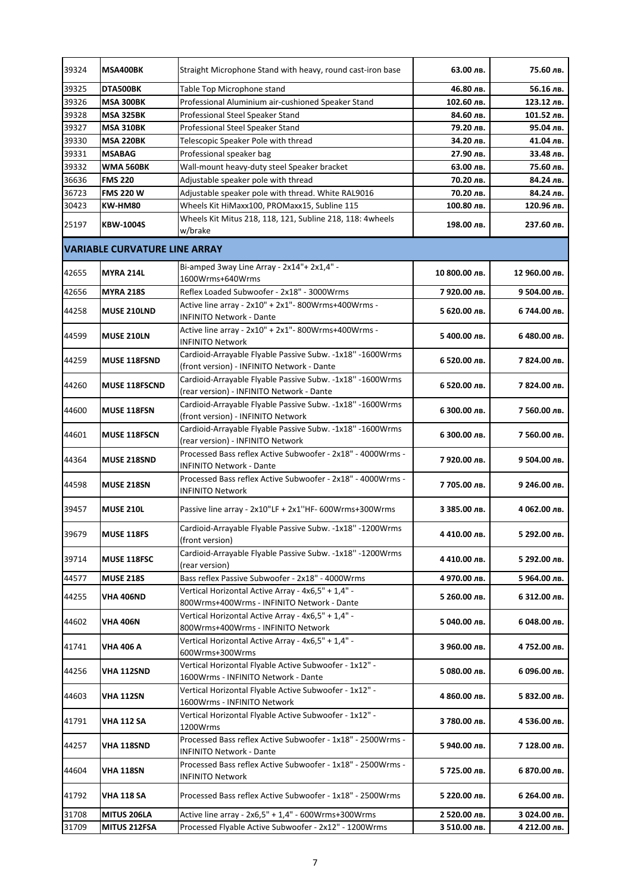| 39324 | MSA400BK                             | Straight Microphone Stand with heavy, round cast-iron base                                              | 63.00 лв.     | 75.60 лв.     |  |  |
|-------|--------------------------------------|---------------------------------------------------------------------------------------------------------|---------------|---------------|--|--|
| 39325 | DTA500BK                             | Table Top Microphone stand                                                                              | 46.80 лв.     | 56.16 лв.     |  |  |
| 39326 | MSA 300BK                            | Professional Aluminium air-cushioned Speaker Stand                                                      | 102.60 лв.    | 123.12 лв.    |  |  |
| 39328 | <b>MSA 325BK</b>                     | Professional Steel Speaker Stand                                                                        | 84.60 лв.     | 101.52 лв.    |  |  |
| 39327 | <b>MSA 310BK</b>                     | Professional Steel Speaker Stand                                                                        | 79.20 лв.     | 95.04 лв.     |  |  |
| 39330 | <b>MSA 220BK</b>                     | Telescopic Speaker Pole with thread                                                                     | 34.20 лв.     | 41.04 лв.     |  |  |
| 39331 | <b>MSABAG</b>                        | Professional speaker bag                                                                                | 27.90 лв.     | 33.48 лв.     |  |  |
| 39332 | <b>WMA 560BK</b>                     | Wall-mount heavy-duty steel Speaker bracket                                                             | 63.00 лв.     | 75.60 лв.     |  |  |
| 36636 | <b>FMS 220</b>                       | Adjustable speaker pole with thread                                                                     | 70.20 лв.     | 84.24 лв.     |  |  |
| 36723 | <b>FMS 220 W</b>                     | Adjustable speaker pole with thread. White RAL9016                                                      | 70.20 лв.     | 84.24 лв.     |  |  |
| 30423 | <b>KW-HM80</b>                       | Wheels Kit HiMaxx100, PROMaxx15, Subline 115                                                            | 100.80 лв.    | 120.96 лв.    |  |  |
| 25197 | <b>KBW-1004S</b>                     | Wheels Kit Mitus 218, 118, 121, Subline 218, 118: 4wheels<br>w/brake                                    | 198.00 лв.    | 237.60 лв.    |  |  |
|       | <b>VARIABLE CURVATURE LINE ARRAY</b> |                                                                                                         |               |               |  |  |
|       |                                      | Bi-amped 3way Line Array - 2x14"+ 2x1,4" -                                                              |               |               |  |  |
| 42655 | <b>MYRA 214L</b>                     | 1600Wrms+640Wrms                                                                                        | 10 800.00 лв. | 12 960.00 лв. |  |  |
| 42656 | <b>MYRA 218S</b>                     | Reflex Loaded Subwoofer - 2x18" - 3000Wrms                                                              | 7 920.00 лв.  | 9 504.00 лв.  |  |  |
|       |                                      | Active line array - 2x10" + 2x1"- 800Wrms+400Wrms -                                                     |               |               |  |  |
| 44258 | <b>MUSE 210LND</b>                   | <b>INFINITO Network - Dante</b>                                                                         | 5 620.00 лв.  | 6 744.00 лв.  |  |  |
| 44599 | <b>MUSE 210LN</b>                    | Active line array - 2x10" + 2x1"- 800Wrms+400Wrms -<br>INFINITO Network                                 | 5 400.00 лв.  | 6 480.00 лв.  |  |  |
| 44259 | <b>MUSE 118FSND</b>                  | Cardioid-Arrayable Flyable Passive Subw. -1x18" -1600Wrms<br>(front version) - INFINITO Network - Dante | 6 520.00 лв.  | 7 824.00 лв.  |  |  |
| 44260 | <b>MUSE 118FSCND</b>                 | Cardioid-Arrayable Flyable Passive Subw. -1x18" -1600Wrms<br>(rear version) - INFINITO Network - Dante  | 6 520.00 лв.  | 7 824.00 лв.  |  |  |
| 44600 | <b>MUSE 118FSN</b>                   | Cardioid-Arrayable Flyable Passive Subw. -1x18" -1600Wrms<br>(front version) - INFINITO Network         | 6 300.00 лв.  | 7 560.00 лв.  |  |  |
| 44601 | <b>MUSE 118FSCN</b>                  | Cardioid-Arrayable Flyable Passive Subw. -1x18" -1600Wrms<br>(rear version) - INFINITO Network          | 6 300.00 лв.  | 7 560.00 лв.  |  |  |
| 44364 | <b>MUSE 218SND</b>                   | Processed Bass reflex Active Subwoofer - 2x18" - 4000Wrms -<br>INFINITO Network - Dante                 | 7 920.00 лв.  | 9 504.00 лв.  |  |  |
| 44598 | <b>MUSE 218SN</b>                    | Processed Bass reflex Active Subwoofer - 2x18" - 4000Wrms -<br><b>INFINITO Network</b>                  | 7 705.00 лв.  | 9 246.00 лв.  |  |  |
| 39457 | <b>MUSE 210L</b>                     | Passive line array - 2x10"LF + 2x1"HF- 600Wrms+300Wrms                                                  | 3 385.00 лв.  | 4 062.00 лв.  |  |  |
| 39679 | <b>MUSE 118FS</b>                    | Cardioid-Arrayable Flyable Passive Subw. -1x18" -1200Wrms<br>(front version)                            | 4 410.00 лв.  | 5 292.00 лв.  |  |  |
| 39714 | <b>MUSE 118FSC</b>                   | Cardioid-Arrayable Flyable Passive Subw. -1x18" -1200Wrms<br>(rear version)                             | 4 410.00 лв.  | 5 292.00 лв.  |  |  |
| 44577 | <b>MUSE 218S</b>                     | Bass reflex Passive Subwoofer - 2x18" - 4000Wrms                                                        | 4 970.00 лв.  | 5 964.00 лв.  |  |  |
| 44255 | VHA 406ND                            | Vertical Horizontal Active Array - 4x6,5" + 1,4" -<br>800Wrms+400Wrms - INFINITO Network - Dante        | 5 260.00 лв.  | 6 312.00 лв.  |  |  |
| 44602 | VHA 406N                             | Vertical Horizontal Active Array - 4x6,5" + 1,4" -<br>800Wrms+400Wrms - INFINITO Network                | 5 040.00 лв.  | 6 048.00 лв.  |  |  |
| 41741 | VHA 406 A                            | Vertical Horizontal Active Array - 4x6,5" + 1,4" -<br>600Wrms+300Wrms                                   | 3 960.00 лв.  | 4 752.00 лв.  |  |  |
| 44256 | VHA 112SND                           | Vertical Horizontal Flyable Active Subwoofer - 1x12" -<br>1600Wrms - INFINITO Network - Dante           | 5 080.00 лв.  | 6 096.00 лв.  |  |  |
| 44603 | VHA 112SN                            | Vertical Horizontal Flyable Active Subwoofer - 1x12" -<br>1600Wrms - INFINITO Network                   | 4 860.00 лв.  | 5 832.00 лв.  |  |  |
| 41791 | VHA 112 SA                           | Vertical Horizontal Flyable Active Subwoofer - 1x12" -<br>1200Wrms                                      | 3 780.00 лв.  | 4 536.00 лв.  |  |  |
| 44257 | VHA 118SND                           | Processed Bass reflex Active Subwoofer - 1x18" - 2500Wrms -<br><b>INFINITO Network - Dante</b>          | 5 940.00 лв.  | 7 128.00 лв.  |  |  |
| 44604 | VHA 118SN                            | Processed Bass reflex Active Subwoofer - 1x18" - 2500Wrms -<br><b>INFINITO Network</b>                  | 5 725.00 лв.  | 6 870.00 лв.  |  |  |
| 41792 | VHA 118 SA                           | Processed Bass reflex Active Subwoofer - 1x18" - 2500Wrms                                               | 5 220.00 лв.  | 6 264.00 лв.  |  |  |
| 31708 | MITUS 206LA                          | Active line array - $2x6.5" + 1.4" - 600W$ rms+300Wrms                                                  | 2 520.00 лв.  | 3 024.00 лв.  |  |  |
| 31709 | MITUS 212FSA                         | Processed Flyable Active Subwoofer - 2x12" - 1200Wrms                                                   | 3 510.00 лв.  | 4 212.00 лв.  |  |  |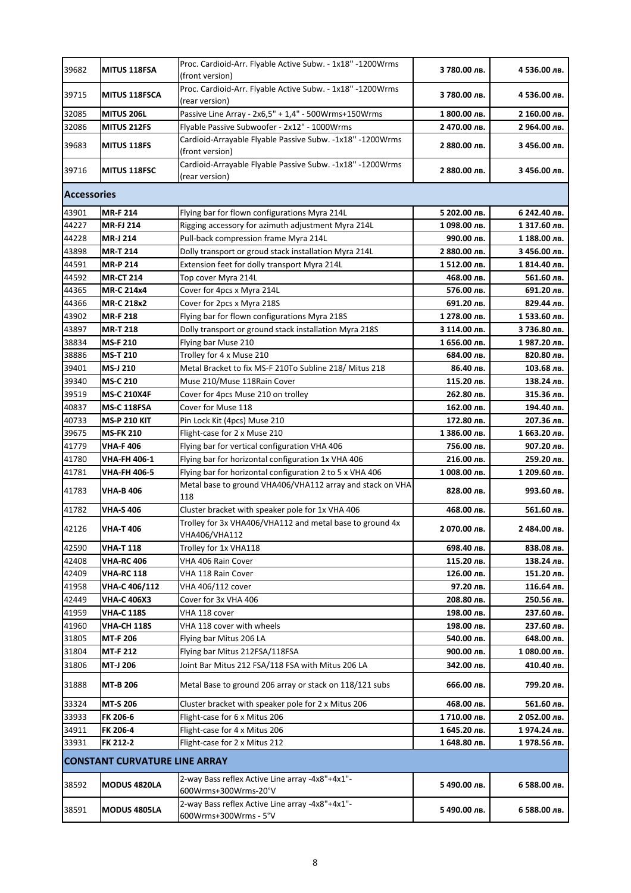| 39715<br><b>MITUS 118FSCA</b><br>3 780.00 лв.<br>4 536.00 лв.<br>(rear version)<br>Passive Line Array - 2x6,5" + 1,4" - 500Wrms+150Wrms<br>32085<br><b>MITUS 206L</b><br>1 800.00 лв.<br>2 160.00 лв.<br>Flyable Passive Subwoofer - 2x12" - 1000Wrms<br>32086<br><b>MITUS 212FS</b><br>2 470.00 лв.<br>2 964.00 лв.<br>Cardioid-Arrayable Flyable Passive Subw. -1x18" -1200Wrms<br>39683<br><b>MITUS 118FS</b><br>2 880.00 лв.<br>3 456.00 лв.<br>(front version)<br>Cardioid-Arrayable Flyable Passive Subw. -1x18" -1200Wrms<br>39716<br><b>MITUS 118FSC</b><br>2 880.00 лв.<br>3 456.00 лв.<br>(rear version)<br><b>Accessories</b><br>43901<br><b>MR-F 214</b><br>Flying bar for flown configurations Myra 214L<br>5 202.00 лв.<br>6 242.40 лв.<br>44227<br><b>MR-FJ 214</b><br>Rigging accessory for azimuth adjustment Myra 214L<br>1098.00 лв.<br>1 317.60 лв.<br>44228<br>MR-J 214<br>Pull-back compression frame Myra 214L<br>990.00 лв.<br>1 188.00 лв.<br>43898<br><b>MR-T 214</b><br>Dolly transport or groud stack installation Myra 214L<br>2 880.00 лв.<br>3 456.00 лв.<br>44591<br><b>MR-P 214</b><br>Extension feet for dolly transport Myra 214L<br>1512.00 лв.<br>1 814.40 лв.<br>44592<br><b>MR-CT 214</b><br>Top cover Myra 214L<br>468.00 лв.<br>561.60 лв.<br>44365<br><b>MR-C 214x4</b><br>Cover for 4pcs x Myra 214L<br>576.00 лв.<br>691.20 лв.<br>44366<br>MR-C 218x2<br>Cover for 2pcs x Myra 218S<br>691.20 лв.<br>829.44 лв.<br>43902<br><b>MR-F 218</b><br>Flying bar for flown configurations Myra 218S<br>1 278.00 лв.<br>1 533.60 лв.<br>43897<br><b>MR-T 218</b><br>Dolly transport or ground stack installation Myra 218S<br>З 114.00 лв.<br>3 736.80 лв.<br>38834<br><b>MS-F 210</b><br>Flying bar Muse 210<br>1 656.00 лв.<br>1987.20 лв.<br>38886<br><b>MS-T 210</b><br>Trolley for 4 x Muse 210<br>684.00 лв.<br>820.80 лв.<br>39401<br>Metal Bracket to fix MS-F 210To Subline 218/ Mitus 218<br>MS-J 210<br>86.40 лв.<br>103.68 лв.<br>39340<br><b>MS-C 210</b><br>Muse 210/Muse 118Rain Cover<br>115.20 лв.<br>138.24 лв.<br>39519<br><b>MS-C 210X4F</b><br>Cover for 4pcs Muse 210 on trolley<br>262.80 лв.<br>315.36 лв.<br>40837<br><b>MS-C 118FSA</b><br>Cover for Muse 118<br>162.00 лв.<br>194.40 лв.<br>40733<br><b>MS-P 210 KIT</b><br>Pin Lock Kit (4pcs) Muse 210<br>172.80 лв.<br>207.36 лв.<br>39675<br><b>MS-FK 210</b><br>Flight-case for 2 x Muse 210<br>1 386.00 лв.<br>1 663.20 лв.<br>41779<br><b>VHA-F406</b><br>Flying bar for vertical configuration VHA 406<br>907.20 лв.<br>756.00 лв.<br>41780<br><b>VHA-FH 406-1</b><br>Flying bar for horizontal configuration 1x VHA 406<br>216.00 лв.<br>259.20 лв.<br>41781<br><b>VHA-FH 406-5</b><br>Flying bar for horizontal configuration 2 to 5 x VHA 406<br>1 008.00 лв.<br>1 209.60 лв.<br>Metal base to ground VHA406/VHA112 array and stack on VHA<br>41783<br><b>VHA-B 406</b><br>828.00 лв.<br>993.60 лв.<br>118<br>41782<br><b>VHA-S 406</b><br>Cluster bracket with speaker pole for 1x VHA 406<br>561.60 лв.<br>468.00 лв.<br>Trolley for 3x VHA406/VHA112 and metal base to ground 4x<br>42126<br><b>VHA-T 406</b><br>2 070.00 лв.<br>2 484.00 лв.<br>VHA406/VHA112<br>42590<br><b>VHA-T118</b><br>Trolley for 1x VHA118<br>698.40 лв.<br>838.08 лв.<br>42408<br><b>VHA-RC 406</b><br>VHA 406 Rain Cover<br>115.20 лв.<br>138.24 лв.<br>42409<br><b>VHA-RC 118</b><br>VHA 118 Rain Cover<br>151.20 лв.<br>126.00 лв.<br>41958<br>VHA-C 406/112<br>VHA 406/112 cover<br>97.20 лв.<br>116.64 лв.<br>42449<br><b>VHA-C 406X3</b><br>Cover for 3x VHA 406<br>208.80 лв.<br>250.56 лв.<br>41959<br><b>VHA-C 118S</b><br>198.00 лв.<br>237.60 лв.<br>VHA 118 cover<br>41960<br><b>VHA-CH 118S</b><br>VHA 118 cover with wheels<br>198.00 лв.<br>237.60 лв.<br>31805<br><b>MT-F 206</b><br>Flying bar Mitus 206 LA<br>540.00 лв.<br>648.00 лв.<br>31804<br><b>MT-F 212</b><br>Flying bar Mitus 212FSA/118FSA<br>900.00 лв.<br>1080.00 лв.<br>31806<br>MT-J 206<br>Joint Bar Mitus 212 FSA/118 FSA with Mitus 206 LA<br>342.00 лв.<br>410.40 лв.<br>31888<br><b>MT-B 206</b><br>Metal Base to ground 206 array or stack on 118/121 subs<br>666.00 лв.<br>799.20 лв.<br><b>MT-S 206</b><br>Cluster bracket with speaker pole for 2 x Mitus 206<br>33324<br>468.00 лв.<br>561.60 лв.<br>FK 206-6<br>Flight-case for 6 x Mitus 206<br>33933<br>1710.00 лв.<br>2 052.00 лв.<br>34911<br>FK 206-4<br>Flight-case for 4 x Mitus 206<br>1 645.20 лв.<br>1974.24 лв.<br>33931<br>FK 212-2<br>Flight-case for 2 x Mitus 212<br>1 648.80 лв.<br>1978.56 лв.<br><b>CONSTANT CURVATURE LINE ARRAY</b><br>2-way Bass reflex Active Line array -4x8"+4x1"-<br>38592<br><b>MODUS 4820LA</b><br>5 490.00 лв.<br>6 588.00 лв.<br>600Wrms+300Wrms-20°V<br>2-way Bass reflex Active Line array -4x8"+4x1"-<br>38591<br><b>MODUS 4805LA</b><br>5 490.00 лв.<br>6 588.00 лв.<br>600Wrms+300Wrms - 5°V | 39682 | <b>MITUS 118FSA</b> | Proc. Cardioid-Arr. Flyable Active Subw. - 1x18" -1200Wrms<br>(front version) | 3 780.00 лв. | 4 536.00 лв. |  |  |
|---------------------------------------------------------------------------------------------------------------------------------------------------------------------------------------------------------------------------------------------------------------------------------------------------------------------------------------------------------------------------------------------------------------------------------------------------------------------------------------------------------------------------------------------------------------------------------------------------------------------------------------------------------------------------------------------------------------------------------------------------------------------------------------------------------------------------------------------------------------------------------------------------------------------------------------------------------------------------------------------------------------------------------------------------------------------------------------------------------------------------------------------------------------------------------------------------------------------------------------------------------------------------------------------------------------------------------------------------------------------------------------------------------------------------------------------------------------------------------------------------------------------------------------------------------------------------------------------------------------------------------------------------------------------------------------------------------------------------------------------------------------------------------------------------------------------------------------------------------------------------------------------------------------------------------------------------------------------------------------------------------------------------------------------------------------------------------------------------------------------------------------------------------------------------------------------------------------------------------------------------------------------------------------------------------------------------------------------------------------------------------------------------------------------------------------------------------------------------------------------------------------------------------------------------------------------------------------------------------------------------------------------------------------------------------------------------------------------------------------------------------------------------------------------------------------------------------------------------------------------------------------------------------------------------------------------------------------------------------------------------------------------------------------------------------------------------------------------------------------------------------------------------------------------------------------------------------------------------------------------------------------------------------------------------------------------------------------------------------------------------------------------------------------------------------------------------------------------------------------------------------------------------------------------------------------------------------------------------------------------------------------------------------------------------------------------------------------------------------------------------------------------------------------------------------------------------------------------------------------------------------------------------------------------------------------------------------------------------------------------------------------------------------------------------------------------------------------------------------------------------------------------------------------------------------------------------------------------------------------------------------------------------------------------------------------------------------------------------------------------------------------------------------------------------------------------------------------------------------------------------------------------------------------------------------------------------------------------------------------------------------------------------------------------------------------------------------------------------------------------------------------------------------------------------------------------------------------------------------------------------------------------------|-------|---------------------|-------------------------------------------------------------------------------|--------------|--------------|--|--|
|                                                                                                                                                                                                                                                                                                                                                                                                                                                                                                                                                                                                                                                                                                                                                                                                                                                                                                                                                                                                                                                                                                                                                                                                                                                                                                                                                                                                                                                                                                                                                                                                                                                                                                                                                                                                                                                                                                                                                                                                                                                                                                                                                                                                                                                                                                                                                                                                                                                                                                                                                                                                                                                                                                                                                                                                                                                                                                                                                                                                                                                                                                                                                                                                                                                                                                                                                                                                                                                                                                                                                                                                                                                                                                                                                                                                                                                                                                                                                                                                                                                                                                                                                                                                                                                                                                                                                                                                                                                                                                                                                                                                                                                                                                                                                                                                                                                                                                   |       |                     | Proc. Cardioid-Arr. Flyable Active Subw. - 1x18" -1200Wrms                    |              |              |  |  |
|                                                                                                                                                                                                                                                                                                                                                                                                                                                                                                                                                                                                                                                                                                                                                                                                                                                                                                                                                                                                                                                                                                                                                                                                                                                                                                                                                                                                                                                                                                                                                                                                                                                                                                                                                                                                                                                                                                                                                                                                                                                                                                                                                                                                                                                                                                                                                                                                                                                                                                                                                                                                                                                                                                                                                                                                                                                                                                                                                                                                                                                                                                                                                                                                                                                                                                                                                                                                                                                                                                                                                                                                                                                                                                                                                                                                                                                                                                                                                                                                                                                                                                                                                                                                                                                                                                                                                                                                                                                                                                                                                                                                                                                                                                                                                                                                                                                                                                   |       |                     |                                                                               |              |              |  |  |
|                                                                                                                                                                                                                                                                                                                                                                                                                                                                                                                                                                                                                                                                                                                                                                                                                                                                                                                                                                                                                                                                                                                                                                                                                                                                                                                                                                                                                                                                                                                                                                                                                                                                                                                                                                                                                                                                                                                                                                                                                                                                                                                                                                                                                                                                                                                                                                                                                                                                                                                                                                                                                                                                                                                                                                                                                                                                                                                                                                                                                                                                                                                                                                                                                                                                                                                                                                                                                                                                                                                                                                                                                                                                                                                                                                                                                                                                                                                                                                                                                                                                                                                                                                                                                                                                                                                                                                                                                                                                                                                                                                                                                                                                                                                                                                                                                                                                                                   |       |                     |                                                                               |              |              |  |  |
|                                                                                                                                                                                                                                                                                                                                                                                                                                                                                                                                                                                                                                                                                                                                                                                                                                                                                                                                                                                                                                                                                                                                                                                                                                                                                                                                                                                                                                                                                                                                                                                                                                                                                                                                                                                                                                                                                                                                                                                                                                                                                                                                                                                                                                                                                                                                                                                                                                                                                                                                                                                                                                                                                                                                                                                                                                                                                                                                                                                                                                                                                                                                                                                                                                                                                                                                                                                                                                                                                                                                                                                                                                                                                                                                                                                                                                                                                                                                                                                                                                                                                                                                                                                                                                                                                                                                                                                                                                                                                                                                                                                                                                                                                                                                                                                                                                                                                                   |       |                     |                                                                               |              |              |  |  |
|                                                                                                                                                                                                                                                                                                                                                                                                                                                                                                                                                                                                                                                                                                                                                                                                                                                                                                                                                                                                                                                                                                                                                                                                                                                                                                                                                                                                                                                                                                                                                                                                                                                                                                                                                                                                                                                                                                                                                                                                                                                                                                                                                                                                                                                                                                                                                                                                                                                                                                                                                                                                                                                                                                                                                                                                                                                                                                                                                                                                                                                                                                                                                                                                                                                                                                                                                                                                                                                                                                                                                                                                                                                                                                                                                                                                                                                                                                                                                                                                                                                                                                                                                                                                                                                                                                                                                                                                                                                                                                                                                                                                                                                                                                                                                                                                                                                                                                   |       |                     |                                                                               |              |              |  |  |
|                                                                                                                                                                                                                                                                                                                                                                                                                                                                                                                                                                                                                                                                                                                                                                                                                                                                                                                                                                                                                                                                                                                                                                                                                                                                                                                                                                                                                                                                                                                                                                                                                                                                                                                                                                                                                                                                                                                                                                                                                                                                                                                                                                                                                                                                                                                                                                                                                                                                                                                                                                                                                                                                                                                                                                                                                                                                                                                                                                                                                                                                                                                                                                                                                                                                                                                                                                                                                                                                                                                                                                                                                                                                                                                                                                                                                                                                                                                                                                                                                                                                                                                                                                                                                                                                                                                                                                                                                                                                                                                                                                                                                                                                                                                                                                                                                                                                                                   |       |                     |                                                                               |              |              |  |  |
|                                                                                                                                                                                                                                                                                                                                                                                                                                                                                                                                                                                                                                                                                                                                                                                                                                                                                                                                                                                                                                                                                                                                                                                                                                                                                                                                                                                                                                                                                                                                                                                                                                                                                                                                                                                                                                                                                                                                                                                                                                                                                                                                                                                                                                                                                                                                                                                                                                                                                                                                                                                                                                                                                                                                                                                                                                                                                                                                                                                                                                                                                                                                                                                                                                                                                                                                                                                                                                                                                                                                                                                                                                                                                                                                                                                                                                                                                                                                                                                                                                                                                                                                                                                                                                                                                                                                                                                                                                                                                                                                                                                                                                                                                                                                                                                                                                                                                                   |       |                     |                                                                               |              |              |  |  |
|                                                                                                                                                                                                                                                                                                                                                                                                                                                                                                                                                                                                                                                                                                                                                                                                                                                                                                                                                                                                                                                                                                                                                                                                                                                                                                                                                                                                                                                                                                                                                                                                                                                                                                                                                                                                                                                                                                                                                                                                                                                                                                                                                                                                                                                                                                                                                                                                                                                                                                                                                                                                                                                                                                                                                                                                                                                                                                                                                                                                                                                                                                                                                                                                                                                                                                                                                                                                                                                                                                                                                                                                                                                                                                                                                                                                                                                                                                                                                                                                                                                                                                                                                                                                                                                                                                                                                                                                                                                                                                                                                                                                                                                                                                                                                                                                                                                                                                   |       |                     |                                                                               |              |              |  |  |
|                                                                                                                                                                                                                                                                                                                                                                                                                                                                                                                                                                                                                                                                                                                                                                                                                                                                                                                                                                                                                                                                                                                                                                                                                                                                                                                                                                                                                                                                                                                                                                                                                                                                                                                                                                                                                                                                                                                                                                                                                                                                                                                                                                                                                                                                                                                                                                                                                                                                                                                                                                                                                                                                                                                                                                                                                                                                                                                                                                                                                                                                                                                                                                                                                                                                                                                                                                                                                                                                                                                                                                                                                                                                                                                                                                                                                                                                                                                                                                                                                                                                                                                                                                                                                                                                                                                                                                                                                                                                                                                                                                                                                                                                                                                                                                                                                                                                                                   |       |                     |                                                                               |              |              |  |  |
|                                                                                                                                                                                                                                                                                                                                                                                                                                                                                                                                                                                                                                                                                                                                                                                                                                                                                                                                                                                                                                                                                                                                                                                                                                                                                                                                                                                                                                                                                                                                                                                                                                                                                                                                                                                                                                                                                                                                                                                                                                                                                                                                                                                                                                                                                                                                                                                                                                                                                                                                                                                                                                                                                                                                                                                                                                                                                                                                                                                                                                                                                                                                                                                                                                                                                                                                                                                                                                                                                                                                                                                                                                                                                                                                                                                                                                                                                                                                                                                                                                                                                                                                                                                                                                                                                                                                                                                                                                                                                                                                                                                                                                                                                                                                                                                                                                                                                                   |       |                     |                                                                               |              |              |  |  |
|                                                                                                                                                                                                                                                                                                                                                                                                                                                                                                                                                                                                                                                                                                                                                                                                                                                                                                                                                                                                                                                                                                                                                                                                                                                                                                                                                                                                                                                                                                                                                                                                                                                                                                                                                                                                                                                                                                                                                                                                                                                                                                                                                                                                                                                                                                                                                                                                                                                                                                                                                                                                                                                                                                                                                                                                                                                                                                                                                                                                                                                                                                                                                                                                                                                                                                                                                                                                                                                                                                                                                                                                                                                                                                                                                                                                                                                                                                                                                                                                                                                                                                                                                                                                                                                                                                                                                                                                                                                                                                                                                                                                                                                                                                                                                                                                                                                                                                   |       |                     |                                                                               |              |              |  |  |
|                                                                                                                                                                                                                                                                                                                                                                                                                                                                                                                                                                                                                                                                                                                                                                                                                                                                                                                                                                                                                                                                                                                                                                                                                                                                                                                                                                                                                                                                                                                                                                                                                                                                                                                                                                                                                                                                                                                                                                                                                                                                                                                                                                                                                                                                                                                                                                                                                                                                                                                                                                                                                                                                                                                                                                                                                                                                                                                                                                                                                                                                                                                                                                                                                                                                                                                                                                                                                                                                                                                                                                                                                                                                                                                                                                                                                                                                                                                                                                                                                                                                                                                                                                                                                                                                                                                                                                                                                                                                                                                                                                                                                                                                                                                                                                                                                                                                                                   |       |                     |                                                                               |              |              |  |  |
|                                                                                                                                                                                                                                                                                                                                                                                                                                                                                                                                                                                                                                                                                                                                                                                                                                                                                                                                                                                                                                                                                                                                                                                                                                                                                                                                                                                                                                                                                                                                                                                                                                                                                                                                                                                                                                                                                                                                                                                                                                                                                                                                                                                                                                                                                                                                                                                                                                                                                                                                                                                                                                                                                                                                                                                                                                                                                                                                                                                                                                                                                                                                                                                                                                                                                                                                                                                                                                                                                                                                                                                                                                                                                                                                                                                                                                                                                                                                                                                                                                                                                                                                                                                                                                                                                                                                                                                                                                                                                                                                                                                                                                                                                                                                                                                                                                                                                                   |       |                     |                                                                               |              |              |  |  |
|                                                                                                                                                                                                                                                                                                                                                                                                                                                                                                                                                                                                                                                                                                                                                                                                                                                                                                                                                                                                                                                                                                                                                                                                                                                                                                                                                                                                                                                                                                                                                                                                                                                                                                                                                                                                                                                                                                                                                                                                                                                                                                                                                                                                                                                                                                                                                                                                                                                                                                                                                                                                                                                                                                                                                                                                                                                                                                                                                                                                                                                                                                                                                                                                                                                                                                                                                                                                                                                                                                                                                                                                                                                                                                                                                                                                                                                                                                                                                                                                                                                                                                                                                                                                                                                                                                                                                                                                                                                                                                                                                                                                                                                                                                                                                                                                                                                                                                   |       |                     |                                                                               |              |              |  |  |
|                                                                                                                                                                                                                                                                                                                                                                                                                                                                                                                                                                                                                                                                                                                                                                                                                                                                                                                                                                                                                                                                                                                                                                                                                                                                                                                                                                                                                                                                                                                                                                                                                                                                                                                                                                                                                                                                                                                                                                                                                                                                                                                                                                                                                                                                                                                                                                                                                                                                                                                                                                                                                                                                                                                                                                                                                                                                                                                                                                                                                                                                                                                                                                                                                                                                                                                                                                                                                                                                                                                                                                                                                                                                                                                                                                                                                                                                                                                                                                                                                                                                                                                                                                                                                                                                                                                                                                                                                                                                                                                                                                                                                                                                                                                                                                                                                                                                                                   |       |                     |                                                                               |              |              |  |  |
|                                                                                                                                                                                                                                                                                                                                                                                                                                                                                                                                                                                                                                                                                                                                                                                                                                                                                                                                                                                                                                                                                                                                                                                                                                                                                                                                                                                                                                                                                                                                                                                                                                                                                                                                                                                                                                                                                                                                                                                                                                                                                                                                                                                                                                                                                                                                                                                                                                                                                                                                                                                                                                                                                                                                                                                                                                                                                                                                                                                                                                                                                                                                                                                                                                                                                                                                                                                                                                                                                                                                                                                                                                                                                                                                                                                                                                                                                                                                                                                                                                                                                                                                                                                                                                                                                                                                                                                                                                                                                                                                                                                                                                                                                                                                                                                                                                                                                                   |       |                     |                                                                               |              |              |  |  |
|                                                                                                                                                                                                                                                                                                                                                                                                                                                                                                                                                                                                                                                                                                                                                                                                                                                                                                                                                                                                                                                                                                                                                                                                                                                                                                                                                                                                                                                                                                                                                                                                                                                                                                                                                                                                                                                                                                                                                                                                                                                                                                                                                                                                                                                                                                                                                                                                                                                                                                                                                                                                                                                                                                                                                                                                                                                                                                                                                                                                                                                                                                                                                                                                                                                                                                                                                                                                                                                                                                                                                                                                                                                                                                                                                                                                                                                                                                                                                                                                                                                                                                                                                                                                                                                                                                                                                                                                                                                                                                                                                                                                                                                                                                                                                                                                                                                                                                   |       |                     |                                                                               |              |              |  |  |
|                                                                                                                                                                                                                                                                                                                                                                                                                                                                                                                                                                                                                                                                                                                                                                                                                                                                                                                                                                                                                                                                                                                                                                                                                                                                                                                                                                                                                                                                                                                                                                                                                                                                                                                                                                                                                                                                                                                                                                                                                                                                                                                                                                                                                                                                                                                                                                                                                                                                                                                                                                                                                                                                                                                                                                                                                                                                                                                                                                                                                                                                                                                                                                                                                                                                                                                                                                                                                                                                                                                                                                                                                                                                                                                                                                                                                                                                                                                                                                                                                                                                                                                                                                                                                                                                                                                                                                                                                                                                                                                                                                                                                                                                                                                                                                                                                                                                                                   |       |                     |                                                                               |              |              |  |  |
|                                                                                                                                                                                                                                                                                                                                                                                                                                                                                                                                                                                                                                                                                                                                                                                                                                                                                                                                                                                                                                                                                                                                                                                                                                                                                                                                                                                                                                                                                                                                                                                                                                                                                                                                                                                                                                                                                                                                                                                                                                                                                                                                                                                                                                                                                                                                                                                                                                                                                                                                                                                                                                                                                                                                                                                                                                                                                                                                                                                                                                                                                                                                                                                                                                                                                                                                                                                                                                                                                                                                                                                                                                                                                                                                                                                                                                                                                                                                                                                                                                                                                                                                                                                                                                                                                                                                                                                                                                                                                                                                                                                                                                                                                                                                                                                                                                                                                                   |       |                     |                                                                               |              |              |  |  |
|                                                                                                                                                                                                                                                                                                                                                                                                                                                                                                                                                                                                                                                                                                                                                                                                                                                                                                                                                                                                                                                                                                                                                                                                                                                                                                                                                                                                                                                                                                                                                                                                                                                                                                                                                                                                                                                                                                                                                                                                                                                                                                                                                                                                                                                                                                                                                                                                                                                                                                                                                                                                                                                                                                                                                                                                                                                                                                                                                                                                                                                                                                                                                                                                                                                                                                                                                                                                                                                                                                                                                                                                                                                                                                                                                                                                                                                                                                                                                                                                                                                                                                                                                                                                                                                                                                                                                                                                                                                                                                                                                                                                                                                                                                                                                                                                                                                                                                   |       |                     |                                                                               |              |              |  |  |
|                                                                                                                                                                                                                                                                                                                                                                                                                                                                                                                                                                                                                                                                                                                                                                                                                                                                                                                                                                                                                                                                                                                                                                                                                                                                                                                                                                                                                                                                                                                                                                                                                                                                                                                                                                                                                                                                                                                                                                                                                                                                                                                                                                                                                                                                                                                                                                                                                                                                                                                                                                                                                                                                                                                                                                                                                                                                                                                                                                                                                                                                                                                                                                                                                                                                                                                                                                                                                                                                                                                                                                                                                                                                                                                                                                                                                                                                                                                                                                                                                                                                                                                                                                                                                                                                                                                                                                                                                                                                                                                                                                                                                                                                                                                                                                                                                                                                                                   |       |                     |                                                                               |              |              |  |  |
|                                                                                                                                                                                                                                                                                                                                                                                                                                                                                                                                                                                                                                                                                                                                                                                                                                                                                                                                                                                                                                                                                                                                                                                                                                                                                                                                                                                                                                                                                                                                                                                                                                                                                                                                                                                                                                                                                                                                                                                                                                                                                                                                                                                                                                                                                                                                                                                                                                                                                                                                                                                                                                                                                                                                                                                                                                                                                                                                                                                                                                                                                                                                                                                                                                                                                                                                                                                                                                                                                                                                                                                                                                                                                                                                                                                                                                                                                                                                                                                                                                                                                                                                                                                                                                                                                                                                                                                                                                                                                                                                                                                                                                                                                                                                                                                                                                                                                                   |       |                     |                                                                               |              |              |  |  |
|                                                                                                                                                                                                                                                                                                                                                                                                                                                                                                                                                                                                                                                                                                                                                                                                                                                                                                                                                                                                                                                                                                                                                                                                                                                                                                                                                                                                                                                                                                                                                                                                                                                                                                                                                                                                                                                                                                                                                                                                                                                                                                                                                                                                                                                                                                                                                                                                                                                                                                                                                                                                                                                                                                                                                                                                                                                                                                                                                                                                                                                                                                                                                                                                                                                                                                                                                                                                                                                                                                                                                                                                                                                                                                                                                                                                                                                                                                                                                                                                                                                                                                                                                                                                                                                                                                                                                                                                                                                                                                                                                                                                                                                                                                                                                                                                                                                                                                   |       |                     |                                                                               |              |              |  |  |
|                                                                                                                                                                                                                                                                                                                                                                                                                                                                                                                                                                                                                                                                                                                                                                                                                                                                                                                                                                                                                                                                                                                                                                                                                                                                                                                                                                                                                                                                                                                                                                                                                                                                                                                                                                                                                                                                                                                                                                                                                                                                                                                                                                                                                                                                                                                                                                                                                                                                                                                                                                                                                                                                                                                                                                                                                                                                                                                                                                                                                                                                                                                                                                                                                                                                                                                                                                                                                                                                                                                                                                                                                                                                                                                                                                                                                                                                                                                                                                                                                                                                                                                                                                                                                                                                                                                                                                                                                                                                                                                                                                                                                                                                                                                                                                                                                                                                                                   |       |                     |                                                                               |              |              |  |  |
|                                                                                                                                                                                                                                                                                                                                                                                                                                                                                                                                                                                                                                                                                                                                                                                                                                                                                                                                                                                                                                                                                                                                                                                                                                                                                                                                                                                                                                                                                                                                                                                                                                                                                                                                                                                                                                                                                                                                                                                                                                                                                                                                                                                                                                                                                                                                                                                                                                                                                                                                                                                                                                                                                                                                                                                                                                                                                                                                                                                                                                                                                                                                                                                                                                                                                                                                                                                                                                                                                                                                                                                                                                                                                                                                                                                                                                                                                                                                                                                                                                                                                                                                                                                                                                                                                                                                                                                                                                                                                                                                                                                                                                                                                                                                                                                                                                                                                                   |       |                     |                                                                               |              |              |  |  |
|                                                                                                                                                                                                                                                                                                                                                                                                                                                                                                                                                                                                                                                                                                                                                                                                                                                                                                                                                                                                                                                                                                                                                                                                                                                                                                                                                                                                                                                                                                                                                                                                                                                                                                                                                                                                                                                                                                                                                                                                                                                                                                                                                                                                                                                                                                                                                                                                                                                                                                                                                                                                                                                                                                                                                                                                                                                                                                                                                                                                                                                                                                                                                                                                                                                                                                                                                                                                                                                                                                                                                                                                                                                                                                                                                                                                                                                                                                                                                                                                                                                                                                                                                                                                                                                                                                                                                                                                                                                                                                                                                                                                                                                                                                                                                                                                                                                                                                   |       |                     |                                                                               |              |              |  |  |
|                                                                                                                                                                                                                                                                                                                                                                                                                                                                                                                                                                                                                                                                                                                                                                                                                                                                                                                                                                                                                                                                                                                                                                                                                                                                                                                                                                                                                                                                                                                                                                                                                                                                                                                                                                                                                                                                                                                                                                                                                                                                                                                                                                                                                                                                                                                                                                                                                                                                                                                                                                                                                                                                                                                                                                                                                                                                                                                                                                                                                                                                                                                                                                                                                                                                                                                                                                                                                                                                                                                                                                                                                                                                                                                                                                                                                                                                                                                                                                                                                                                                                                                                                                                                                                                                                                                                                                                                                                                                                                                                                                                                                                                                                                                                                                                                                                                                                                   |       |                     |                                                                               |              |              |  |  |
|                                                                                                                                                                                                                                                                                                                                                                                                                                                                                                                                                                                                                                                                                                                                                                                                                                                                                                                                                                                                                                                                                                                                                                                                                                                                                                                                                                                                                                                                                                                                                                                                                                                                                                                                                                                                                                                                                                                                                                                                                                                                                                                                                                                                                                                                                                                                                                                                                                                                                                                                                                                                                                                                                                                                                                                                                                                                                                                                                                                                                                                                                                                                                                                                                                                                                                                                                                                                                                                                                                                                                                                                                                                                                                                                                                                                                                                                                                                                                                                                                                                                                                                                                                                                                                                                                                                                                                                                                                                                                                                                                                                                                                                                                                                                                                                                                                                                                                   |       |                     |                                                                               |              |              |  |  |
|                                                                                                                                                                                                                                                                                                                                                                                                                                                                                                                                                                                                                                                                                                                                                                                                                                                                                                                                                                                                                                                                                                                                                                                                                                                                                                                                                                                                                                                                                                                                                                                                                                                                                                                                                                                                                                                                                                                                                                                                                                                                                                                                                                                                                                                                                                                                                                                                                                                                                                                                                                                                                                                                                                                                                                                                                                                                                                                                                                                                                                                                                                                                                                                                                                                                                                                                                                                                                                                                                                                                                                                                                                                                                                                                                                                                                                                                                                                                                                                                                                                                                                                                                                                                                                                                                                                                                                                                                                                                                                                                                                                                                                                                                                                                                                                                                                                                                                   |       |                     |                                                                               |              |              |  |  |
|                                                                                                                                                                                                                                                                                                                                                                                                                                                                                                                                                                                                                                                                                                                                                                                                                                                                                                                                                                                                                                                                                                                                                                                                                                                                                                                                                                                                                                                                                                                                                                                                                                                                                                                                                                                                                                                                                                                                                                                                                                                                                                                                                                                                                                                                                                                                                                                                                                                                                                                                                                                                                                                                                                                                                                                                                                                                                                                                                                                                                                                                                                                                                                                                                                                                                                                                                                                                                                                                                                                                                                                                                                                                                                                                                                                                                                                                                                                                                                                                                                                                                                                                                                                                                                                                                                                                                                                                                                                                                                                                                                                                                                                                                                                                                                                                                                                                                                   |       |                     |                                                                               |              |              |  |  |
|                                                                                                                                                                                                                                                                                                                                                                                                                                                                                                                                                                                                                                                                                                                                                                                                                                                                                                                                                                                                                                                                                                                                                                                                                                                                                                                                                                                                                                                                                                                                                                                                                                                                                                                                                                                                                                                                                                                                                                                                                                                                                                                                                                                                                                                                                                                                                                                                                                                                                                                                                                                                                                                                                                                                                                                                                                                                                                                                                                                                                                                                                                                                                                                                                                                                                                                                                                                                                                                                                                                                                                                                                                                                                                                                                                                                                                                                                                                                                                                                                                                                                                                                                                                                                                                                                                                                                                                                                                                                                                                                                                                                                                                                                                                                                                                                                                                                                                   |       |                     |                                                                               |              |              |  |  |
|                                                                                                                                                                                                                                                                                                                                                                                                                                                                                                                                                                                                                                                                                                                                                                                                                                                                                                                                                                                                                                                                                                                                                                                                                                                                                                                                                                                                                                                                                                                                                                                                                                                                                                                                                                                                                                                                                                                                                                                                                                                                                                                                                                                                                                                                                                                                                                                                                                                                                                                                                                                                                                                                                                                                                                                                                                                                                                                                                                                                                                                                                                                                                                                                                                                                                                                                                                                                                                                                                                                                                                                                                                                                                                                                                                                                                                                                                                                                                                                                                                                                                                                                                                                                                                                                                                                                                                                                                                                                                                                                                                                                                                                                                                                                                                                                                                                                                                   |       |                     |                                                                               |              |              |  |  |
|                                                                                                                                                                                                                                                                                                                                                                                                                                                                                                                                                                                                                                                                                                                                                                                                                                                                                                                                                                                                                                                                                                                                                                                                                                                                                                                                                                                                                                                                                                                                                                                                                                                                                                                                                                                                                                                                                                                                                                                                                                                                                                                                                                                                                                                                                                                                                                                                                                                                                                                                                                                                                                                                                                                                                                                                                                                                                                                                                                                                                                                                                                                                                                                                                                                                                                                                                                                                                                                                                                                                                                                                                                                                                                                                                                                                                                                                                                                                                                                                                                                                                                                                                                                                                                                                                                                                                                                                                                                                                                                                                                                                                                                                                                                                                                                                                                                                                                   |       |                     |                                                                               |              |              |  |  |
|                                                                                                                                                                                                                                                                                                                                                                                                                                                                                                                                                                                                                                                                                                                                                                                                                                                                                                                                                                                                                                                                                                                                                                                                                                                                                                                                                                                                                                                                                                                                                                                                                                                                                                                                                                                                                                                                                                                                                                                                                                                                                                                                                                                                                                                                                                                                                                                                                                                                                                                                                                                                                                                                                                                                                                                                                                                                                                                                                                                                                                                                                                                                                                                                                                                                                                                                                                                                                                                                                                                                                                                                                                                                                                                                                                                                                                                                                                                                                                                                                                                                                                                                                                                                                                                                                                                                                                                                                                                                                                                                                                                                                                                                                                                                                                                                                                                                                                   |       |                     |                                                                               |              |              |  |  |
|                                                                                                                                                                                                                                                                                                                                                                                                                                                                                                                                                                                                                                                                                                                                                                                                                                                                                                                                                                                                                                                                                                                                                                                                                                                                                                                                                                                                                                                                                                                                                                                                                                                                                                                                                                                                                                                                                                                                                                                                                                                                                                                                                                                                                                                                                                                                                                                                                                                                                                                                                                                                                                                                                                                                                                                                                                                                                                                                                                                                                                                                                                                                                                                                                                                                                                                                                                                                                                                                                                                                                                                                                                                                                                                                                                                                                                                                                                                                                                                                                                                                                                                                                                                                                                                                                                                                                                                                                                                                                                                                                                                                                                                                                                                                                                                                                                                                                                   |       |                     |                                                                               |              |              |  |  |
|                                                                                                                                                                                                                                                                                                                                                                                                                                                                                                                                                                                                                                                                                                                                                                                                                                                                                                                                                                                                                                                                                                                                                                                                                                                                                                                                                                                                                                                                                                                                                                                                                                                                                                                                                                                                                                                                                                                                                                                                                                                                                                                                                                                                                                                                                                                                                                                                                                                                                                                                                                                                                                                                                                                                                                                                                                                                                                                                                                                                                                                                                                                                                                                                                                                                                                                                                                                                                                                                                                                                                                                                                                                                                                                                                                                                                                                                                                                                                                                                                                                                                                                                                                                                                                                                                                                                                                                                                                                                                                                                                                                                                                                                                                                                                                                                                                                                                                   |       |                     |                                                                               |              |              |  |  |
|                                                                                                                                                                                                                                                                                                                                                                                                                                                                                                                                                                                                                                                                                                                                                                                                                                                                                                                                                                                                                                                                                                                                                                                                                                                                                                                                                                                                                                                                                                                                                                                                                                                                                                                                                                                                                                                                                                                                                                                                                                                                                                                                                                                                                                                                                                                                                                                                                                                                                                                                                                                                                                                                                                                                                                                                                                                                                                                                                                                                                                                                                                                                                                                                                                                                                                                                                                                                                                                                                                                                                                                                                                                                                                                                                                                                                                                                                                                                                                                                                                                                                                                                                                                                                                                                                                                                                                                                                                                                                                                                                                                                                                                                                                                                                                                                                                                                                                   |       |                     |                                                                               |              |              |  |  |
|                                                                                                                                                                                                                                                                                                                                                                                                                                                                                                                                                                                                                                                                                                                                                                                                                                                                                                                                                                                                                                                                                                                                                                                                                                                                                                                                                                                                                                                                                                                                                                                                                                                                                                                                                                                                                                                                                                                                                                                                                                                                                                                                                                                                                                                                                                                                                                                                                                                                                                                                                                                                                                                                                                                                                                                                                                                                                                                                                                                                                                                                                                                                                                                                                                                                                                                                                                                                                                                                                                                                                                                                                                                                                                                                                                                                                                                                                                                                                                                                                                                                                                                                                                                                                                                                                                                                                                                                                                                                                                                                                                                                                                                                                                                                                                                                                                                                                                   |       |                     |                                                                               |              |              |  |  |
|                                                                                                                                                                                                                                                                                                                                                                                                                                                                                                                                                                                                                                                                                                                                                                                                                                                                                                                                                                                                                                                                                                                                                                                                                                                                                                                                                                                                                                                                                                                                                                                                                                                                                                                                                                                                                                                                                                                                                                                                                                                                                                                                                                                                                                                                                                                                                                                                                                                                                                                                                                                                                                                                                                                                                                                                                                                                                                                                                                                                                                                                                                                                                                                                                                                                                                                                                                                                                                                                                                                                                                                                                                                                                                                                                                                                                                                                                                                                                                                                                                                                                                                                                                                                                                                                                                                                                                                                                                                                                                                                                                                                                                                                                                                                                                                                                                                                                                   |       |                     |                                                                               |              |              |  |  |
|                                                                                                                                                                                                                                                                                                                                                                                                                                                                                                                                                                                                                                                                                                                                                                                                                                                                                                                                                                                                                                                                                                                                                                                                                                                                                                                                                                                                                                                                                                                                                                                                                                                                                                                                                                                                                                                                                                                                                                                                                                                                                                                                                                                                                                                                                                                                                                                                                                                                                                                                                                                                                                                                                                                                                                                                                                                                                                                                                                                                                                                                                                                                                                                                                                                                                                                                                                                                                                                                                                                                                                                                                                                                                                                                                                                                                                                                                                                                                                                                                                                                                                                                                                                                                                                                                                                                                                                                                                                                                                                                                                                                                                                                                                                                                                                                                                                                                                   |       |                     |                                                                               |              |              |  |  |
|                                                                                                                                                                                                                                                                                                                                                                                                                                                                                                                                                                                                                                                                                                                                                                                                                                                                                                                                                                                                                                                                                                                                                                                                                                                                                                                                                                                                                                                                                                                                                                                                                                                                                                                                                                                                                                                                                                                                                                                                                                                                                                                                                                                                                                                                                                                                                                                                                                                                                                                                                                                                                                                                                                                                                                                                                                                                                                                                                                                                                                                                                                                                                                                                                                                                                                                                                                                                                                                                                                                                                                                                                                                                                                                                                                                                                                                                                                                                                                                                                                                                                                                                                                                                                                                                                                                                                                                                                                                                                                                                                                                                                                                                                                                                                                                                                                                                                                   |       |                     |                                                                               |              |              |  |  |
|                                                                                                                                                                                                                                                                                                                                                                                                                                                                                                                                                                                                                                                                                                                                                                                                                                                                                                                                                                                                                                                                                                                                                                                                                                                                                                                                                                                                                                                                                                                                                                                                                                                                                                                                                                                                                                                                                                                                                                                                                                                                                                                                                                                                                                                                                                                                                                                                                                                                                                                                                                                                                                                                                                                                                                                                                                                                                                                                                                                                                                                                                                                                                                                                                                                                                                                                                                                                                                                                                                                                                                                                                                                                                                                                                                                                                                                                                                                                                                                                                                                                                                                                                                                                                                                                                                                                                                                                                                                                                                                                                                                                                                                                                                                                                                                                                                                                                                   |       |                     |                                                                               |              |              |  |  |
|                                                                                                                                                                                                                                                                                                                                                                                                                                                                                                                                                                                                                                                                                                                                                                                                                                                                                                                                                                                                                                                                                                                                                                                                                                                                                                                                                                                                                                                                                                                                                                                                                                                                                                                                                                                                                                                                                                                                                                                                                                                                                                                                                                                                                                                                                                                                                                                                                                                                                                                                                                                                                                                                                                                                                                                                                                                                                                                                                                                                                                                                                                                                                                                                                                                                                                                                                                                                                                                                                                                                                                                                                                                                                                                                                                                                                                                                                                                                                                                                                                                                                                                                                                                                                                                                                                                                                                                                                                                                                                                                                                                                                                                                                                                                                                                                                                                                                                   |       |                     |                                                                               |              |              |  |  |
|                                                                                                                                                                                                                                                                                                                                                                                                                                                                                                                                                                                                                                                                                                                                                                                                                                                                                                                                                                                                                                                                                                                                                                                                                                                                                                                                                                                                                                                                                                                                                                                                                                                                                                                                                                                                                                                                                                                                                                                                                                                                                                                                                                                                                                                                                                                                                                                                                                                                                                                                                                                                                                                                                                                                                                                                                                                                                                                                                                                                                                                                                                                                                                                                                                                                                                                                                                                                                                                                                                                                                                                                                                                                                                                                                                                                                                                                                                                                                                                                                                                                                                                                                                                                                                                                                                                                                                                                                                                                                                                                                                                                                                                                                                                                                                                                                                                                                                   |       |                     |                                                                               |              |              |  |  |
|                                                                                                                                                                                                                                                                                                                                                                                                                                                                                                                                                                                                                                                                                                                                                                                                                                                                                                                                                                                                                                                                                                                                                                                                                                                                                                                                                                                                                                                                                                                                                                                                                                                                                                                                                                                                                                                                                                                                                                                                                                                                                                                                                                                                                                                                                                                                                                                                                                                                                                                                                                                                                                                                                                                                                                                                                                                                                                                                                                                                                                                                                                                                                                                                                                                                                                                                                                                                                                                                                                                                                                                                                                                                                                                                                                                                                                                                                                                                                                                                                                                                                                                                                                                                                                                                                                                                                                                                                                                                                                                                                                                                                                                                                                                                                                                                                                                                                                   |       |                     |                                                                               |              |              |  |  |
|                                                                                                                                                                                                                                                                                                                                                                                                                                                                                                                                                                                                                                                                                                                                                                                                                                                                                                                                                                                                                                                                                                                                                                                                                                                                                                                                                                                                                                                                                                                                                                                                                                                                                                                                                                                                                                                                                                                                                                                                                                                                                                                                                                                                                                                                                                                                                                                                                                                                                                                                                                                                                                                                                                                                                                                                                                                                                                                                                                                                                                                                                                                                                                                                                                                                                                                                                                                                                                                                                                                                                                                                                                                                                                                                                                                                                                                                                                                                                                                                                                                                                                                                                                                                                                                                                                                                                                                                                                                                                                                                                                                                                                                                                                                                                                                                                                                                                                   |       |                     |                                                                               |              |              |  |  |
|                                                                                                                                                                                                                                                                                                                                                                                                                                                                                                                                                                                                                                                                                                                                                                                                                                                                                                                                                                                                                                                                                                                                                                                                                                                                                                                                                                                                                                                                                                                                                                                                                                                                                                                                                                                                                                                                                                                                                                                                                                                                                                                                                                                                                                                                                                                                                                                                                                                                                                                                                                                                                                                                                                                                                                                                                                                                                                                                                                                                                                                                                                                                                                                                                                                                                                                                                                                                                                                                                                                                                                                                                                                                                                                                                                                                                                                                                                                                                                                                                                                                                                                                                                                                                                                                                                                                                                                                                                                                                                                                                                                                                                                                                                                                                                                                                                                                                                   |       |                     |                                                                               |              |              |  |  |
|                                                                                                                                                                                                                                                                                                                                                                                                                                                                                                                                                                                                                                                                                                                                                                                                                                                                                                                                                                                                                                                                                                                                                                                                                                                                                                                                                                                                                                                                                                                                                                                                                                                                                                                                                                                                                                                                                                                                                                                                                                                                                                                                                                                                                                                                                                                                                                                                                                                                                                                                                                                                                                                                                                                                                                                                                                                                                                                                                                                                                                                                                                                                                                                                                                                                                                                                                                                                                                                                                                                                                                                                                                                                                                                                                                                                                                                                                                                                                                                                                                                                                                                                                                                                                                                                                                                                                                                                                                                                                                                                                                                                                                                                                                                                                                                                                                                                                                   |       |                     |                                                                               |              |              |  |  |
|                                                                                                                                                                                                                                                                                                                                                                                                                                                                                                                                                                                                                                                                                                                                                                                                                                                                                                                                                                                                                                                                                                                                                                                                                                                                                                                                                                                                                                                                                                                                                                                                                                                                                                                                                                                                                                                                                                                                                                                                                                                                                                                                                                                                                                                                                                                                                                                                                                                                                                                                                                                                                                                                                                                                                                                                                                                                                                                                                                                                                                                                                                                                                                                                                                                                                                                                                                                                                                                                                                                                                                                                                                                                                                                                                                                                                                                                                                                                                                                                                                                                                                                                                                                                                                                                                                                                                                                                                                                                                                                                                                                                                                                                                                                                                                                                                                                                                                   |       |                     |                                                                               |              |              |  |  |
|                                                                                                                                                                                                                                                                                                                                                                                                                                                                                                                                                                                                                                                                                                                                                                                                                                                                                                                                                                                                                                                                                                                                                                                                                                                                                                                                                                                                                                                                                                                                                                                                                                                                                                                                                                                                                                                                                                                                                                                                                                                                                                                                                                                                                                                                                                                                                                                                                                                                                                                                                                                                                                                                                                                                                                                                                                                                                                                                                                                                                                                                                                                                                                                                                                                                                                                                                                                                                                                                                                                                                                                                                                                                                                                                                                                                                                                                                                                                                                                                                                                                                                                                                                                                                                                                                                                                                                                                                                                                                                                                                                                                                                                                                                                                                                                                                                                                                                   |       |                     |                                                                               |              |              |  |  |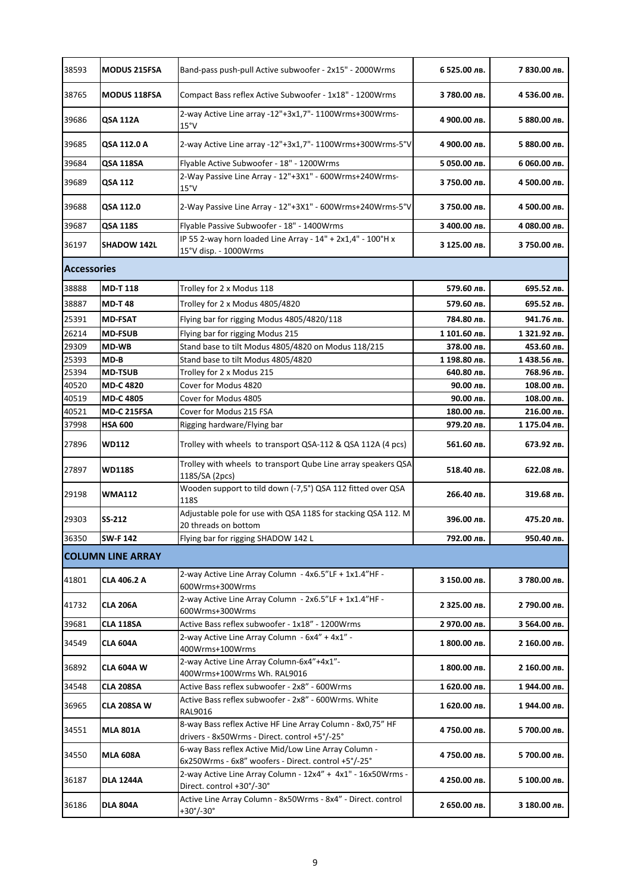| 38593 | <b>MODUS 215FSA</b>      | Band-pass push-pull Active subwoofer - 2x15" - 2000Wrms                                                     | 6 525.00 лв. | 7 830.00 лв. |  |  |
|-------|--------------------------|-------------------------------------------------------------------------------------------------------------|--------------|--------------|--|--|
| 38765 | <b>MODUS 118FSA</b>      | Compact Bass reflex Active Subwoofer - 1x18" - 1200Wrms                                                     | 3 780.00 лв. | 4 536.00 лв. |  |  |
| 39686 | <b>QSA 112A</b>          | 2-way Active Line array -12"+3x1,7"- 1100Wrms+300Wrms-<br>15°V                                              | 4 900.00 лв. | 5 880.00 лв. |  |  |
| 39685 | QSA 112.0 A              | 2-way Active Line array -12"+3x1,7"- 1100Wrms+300Wrms-5°V                                                   | 4 900.00 лв. | 5 880.00 лв. |  |  |
| 39684 | <b>QSA 118SA</b>         | Flyable Active Subwoofer - 18" - 1200Wrms                                                                   | 5 050.00 лв. | 6 060.00 лв. |  |  |
| 39689 | <b>QSA 112</b>           | 2-Way Passive Line Array - 12"+3X1" - 600Wrms+240Wrms-<br>15°V                                              | 3 750.00 лв. | 4 500.00 лв. |  |  |
| 39688 | QSA 112.0                | 2-Way Passive Line Array - 12"+3X1" - 600Wrms+240Wrms-5°V                                                   | 3 750.00 лв. | 4 500.00 лв. |  |  |
| 39687 | <b>QSA 118S</b>          | Flyable Passive Subwoofer - 18" - 1400Wrms                                                                  | 3 400.00 лв. | 4 080.00 лв. |  |  |
| 36197 | <b>SHADOW 142L</b>       | IP 55 2-way horn loaded Line Array - 14" + 2x1,4" - 100°H x<br>15°V disp. - 1000Wrms                        | 3 125.00 лв. | 3 750.00 лв. |  |  |
|       | <b>Accessories</b>       |                                                                                                             |              |              |  |  |
| 38888 | <b>MD-T118</b>           | Trolley for 2 x Modus 118                                                                                   | 579.60 лв.   | 695.52 лв.   |  |  |
| 38887 | <b>MD-T48</b>            | Trolley for 2 x Modus 4805/4820                                                                             | 579.60 лв.   | 695.52 лв.   |  |  |
| 25391 | <b>MD-FSAT</b>           | Flying bar for rigging Modus 4805/4820/118                                                                  | 784.80 лв.   | 941.76 лв.   |  |  |
| 26214 | <b>MD-FSUB</b>           | Flying bar for rigging Modus 215                                                                            | 1 101.60 лв. | 1 321.92 лв. |  |  |
| 29309 | <b>MD-WB</b>             | Stand base to tilt Modus 4805/4820 on Modus 118/215                                                         | 378.00 лв.   | 453.60 лв.   |  |  |
| 25393 | MD-B                     | Stand base to tilt Modus 4805/4820                                                                          | 1 198.80 лв. | 1438.56 лв.  |  |  |
| 25394 | <b>MD-TSUB</b>           | Trolley for 2 x Modus 215                                                                                   | 640.80 лв.   | 768.96 лв.   |  |  |
| 40520 | <b>MD-C4820</b>          | Cover for Modus 4820                                                                                        | 90.00 лв.    | 108.00 лв.   |  |  |
| 40519 | <b>MD-C 4805</b>         | Cover for Modus 4805                                                                                        | 90.00 лв.    | 108.00 лв.   |  |  |
| 40521 | <b>MD-C 215FSA</b>       | Cover for Modus 215 FSA                                                                                     | 180.00 лв.   | 216.00 лв.   |  |  |
| 37998 | <b>HSA 600</b>           | Rigging hardware/Flying bar                                                                                 | 979.20 лв.   | 1 175.04 лв. |  |  |
| 27896 | <b>WD112</b>             | Trolley with wheels to transport QSA-112 & QSA 112A (4 pcs)                                                 | 561.60 лв.   | 673.92 лв.   |  |  |
| 27897 | <b>WD118S</b>            | Trolley with wheels to transport Qube Line array speakers QSA<br>118S/SA (2pcs)                             | 518.40 лв.   | 622.08 лв.   |  |  |
| 29198 | <b>WMA112</b>            | Wooden support to tild down (-7,5°) QSA 112 fitted over QSA<br><b>118S</b>                                  | 266.40 лв.   | 319.68 лв.   |  |  |
| 29303 | SS-212                   | Adjustable pole for use with QSA 118S for stacking QSA 112. M<br>20 threads on bottom                       | 396.00 лв.   | 475.20 лв.   |  |  |
| 36350 | <b>SW-F142</b>           | Flying bar for rigging SHADOW 142 L                                                                         | 792.00 лв.   | 950.40 лв.   |  |  |
|       | <b>COLUMN LINE ARRAY</b> |                                                                                                             |              |              |  |  |
| 41801 | CLA 406.2 A              | 2-way Active Line Array Column - 4x6.5"LF + 1x1.4"HF -<br>600Wrms+300Wrms                                   | 3 150.00 лв. | 3 780.00 лв. |  |  |
| 41732 | <b>CLA 206A</b>          | 2-way Active Line Array Column - 2x6.5"LF + 1x1.4"HF -<br>600Wrms+300Wrms                                   | 2 325.00 лв. | 2 790.00 лв. |  |  |
| 39681 | <b>CLA 118SA</b>         | Active Bass reflex subwoofer - 1x18" - 1200Wrms                                                             | 2 970.00 лв. | 3 564.00 лв. |  |  |
| 34549 | <b>CLA 604A</b>          | 2-way Active Line Array Column - 6x4" + 4x1" -<br>400Wrms+100Wrms                                           | 1 800.00 лв. | 2 160.00 лв. |  |  |
| 36892 | <b>CLA 604A W</b>        | 2-way Active Line Array Column-6x4"+4x1"-<br>400Wrms+100Wrms Wh. RAL9016                                    | 1 800.00 лв. | 2 160.00 лв. |  |  |
| 34548 | CLA 208SA                | Active Bass reflex subwoofer - 2x8" - 600Wrms                                                               | 1 620.00 лв. | 1944.00 лв.  |  |  |
| 36965 | CLA 208SA W              | Active Bass reflex subwoofer - 2x8" - 600Wrms. White<br><b>RAL9016</b>                                      | 1 620.00 лв. | 1 944.00 лв. |  |  |
| 34551 | <b>MLA 801A</b>          | 8-way Bass reflex Active HF Line Array Column - 8x0,75" HF<br>drivers - 8x50Wrms - Direct. control +5°/-25° | 4 750.00 лв. | 5 700.00 лв. |  |  |
| 34550 | <b>MLA 608A</b>          | 6-way Bass reflex Active Mid/Low Line Array Column -<br>6x250Wrms - 6x8" woofers - Direct. control +5°/-25° | 4 750.00 лв. | 5 700.00 лв. |  |  |
| 36187 | <b>DLA 1244A</b>         | 2-way Active Line Array Column - 12x4" + 4x1" - 16x50Wrms -<br>Direct. control +30°/-30°                    | 4 250.00 лв. | 5 100.00 лв. |  |  |
| 36186 | <b>DLA 804A</b>          | Active Line Array Column - 8x50Wrms - 8x4" - Direct. control<br>$+30^{\circ}/-30^{\circ}$                   | 2 650.00 лв. | 3 180.00 лв. |  |  |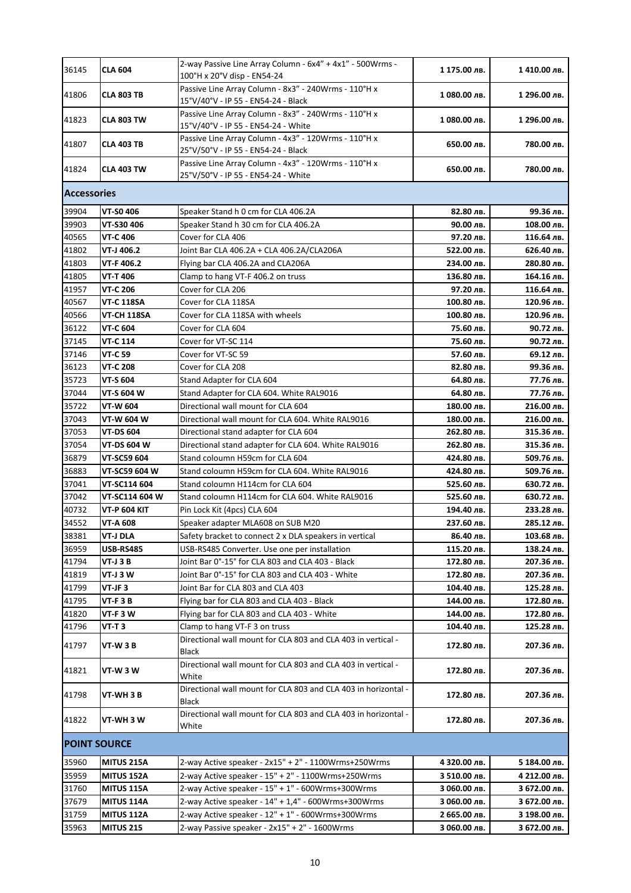| 36145               | <b>CLA 604</b>      | 2-way Passive Line Array Column - 6x4" + 4x1" - 500Wrms -<br>100°H x 20°V disp - EN54-24    | 1 175.00 лв. | 1410.00 лв.  |
|---------------------|---------------------|---------------------------------------------------------------------------------------------|--------------|--------------|
| 41806               | <b>CLA 803 TB</b>   | Passive Line Array Column - 8x3" - 240Wrms - 110°H x<br>15°V/40°V - IP 55 - EN54-24 - Black | 1080.00 лв.  | 1 296.00 лв. |
| 41823               | <b>CLA 803 TW</b>   | Passive Line Array Column - 8x3" - 240Wrms - 110°H x<br>15°V/40°V - IP 55 - EN54-24 - White | 1 080.00 лв. | 1 296.00 лв. |
| 41807               | <b>CLA 403 TB</b>   | Passive Line Array Column - 4x3" - 120Wrms - 110°H x<br>25°V/50°V - IP 55 - EN54-24 - Black | 650.00 лв.   | 780.00 лв.   |
| 41824               | <b>CLA 403 TW</b>   | Passive Line Array Column - 4x3" - 120Wrms - 110°H x<br>25°V/50°V - IP 55 - EN54-24 - White | 650.00 лв.   | 780.00 лв.   |
| <b>Accessories</b>  |                     |                                                                                             |              |              |
| 39904               | <b>VT-S0 406</b>    | Speaker Stand h 0 cm for CLA 406.2A                                                         | 82.80 лв.    | 99.36 лв.    |
| 39903               | VT-S30 406          | Speaker Stand h 30 cm for CLA 406.2A                                                        | 90.00 лв.    | 108.00 лв.   |
| 40565               | <b>VT-C 406</b>     | Cover for CLA 406                                                                           | 97.20 лв.    | 116.64 лв.   |
| 41802               | VT-J 406.2          | Joint Bar CLA 406.2A + CLA 406.2A/CLA206A                                                   | 522.00 лв.   | 626.40 лв.   |
| 41803               | VT-F 406.2          | Flying bar CLA 406.2A and CLA206A                                                           | 234.00 лв.   | 280.80 лв.   |
| 41805               | <b>VT-T406</b>      | Clamp to hang VT-F 406.2 on truss                                                           | 136.80 лв.   | 164.16 лв.   |
| 41957               | <b>VT-C 206</b>     | Cover for CLA 206                                                                           | 97.20 лв.    | 116.64 лв.   |
| 40567               | <b>VT-C 118SA</b>   | Cover for CLA 118SA                                                                         | 100.80 лв.   | 120.96 лв.   |
| 40566               | VT-CH 118SA         | Cover for CLA 118SA with wheels                                                             | 100.80 лв.   | 120.96 лв.   |
| 36122               | <b>VT-C 604</b>     | Cover for CLA 604                                                                           | 75.60 лв.    | 90.72 лв.    |
|                     |                     |                                                                                             |              |              |
| 37145               | VT-C 114            | Cover for VT-SC 114                                                                         | 75.60 лв.    | 90.72 лв.    |
| 37146               | <b>VT-C 59</b>      | Cover for VT-SC 59                                                                          | 57.60 лв.    | 69.12 лв.    |
| 36123               | VT-C 208            | Cover for CLA 208                                                                           | 82.80 лв.    | 99.36 лв.    |
| 35723               | <b>VT-S 604</b>     | Stand Adapter for CLA 604                                                                   | 64.80 лв.    | 77.76 лв.    |
| 37044               | VT-S 604 W          | Stand Adapter for CLA 604. White RAL9016                                                    | 64.80 лв.    | 77.76 лв.    |
| 35722               | VT-W 604            | Directional wall mount for CLA 604                                                          | 180.00 лв.   | 216.00 лв.   |
| 37043               | VT-W 604 W          | Directional wall mount for CLA 604. White RAL9016                                           | 180.00 лв.   | 216.00 лв.   |
| 37053               | VT-DS 604           | Directional stand adapter for CLA 604                                                       | 262.80 лв.   | 315.36 лв.   |
| 37054               | VT-DS 604 W         | Directional stand adapter for CLA 604. White RAL9016                                        | 262.80 лв.   | 315.36 лв.   |
| 36879               | VT-SC59 604         | Stand coloumn H59cm for CLA 604                                                             | 424.80 лв.   | 509.76 лв.   |
| 36883               | VT-SC59 604 W       | Stand coloumn H59cm for CLA 604. White RAL9016                                              | 424.80 лв.   | 509.76 лв.   |
| 37041               | VT-SC114 604        | Stand coloumn H114cm for CLA 604                                                            | 525.60 лв.   | 630.72 лв.   |
| 37042               | VT-SC114 604 W      | Stand coloumn H114cm for CLA 604. White RAL9016                                             | 525.60 лв.   | 630.72 лв.   |
| 40732               | <b>VT-P 604 KIT</b> | Pin Lock Kit (4pcs) CLA 604                                                                 | 194.40 лв.   | 233.28 лв.   |
| 34552               | <b>VT-A 608</b>     | Speaker adapter MLA608 on SUB M20                                                           | 237.60 лв.   | 285.12 лв.   |
| 38381               | <b>VT-J DLA</b>     | Safety bracket to connect 2 x DLA speakers in vertical                                      | 86.40 лв.    | 103.68 лв.   |
| 36959               | <b>USB-RS485</b>    | USB-RS485 Converter. Use one per installation                                               | 115.20 лв.   | 138.24 лв.   |
| 41794               | <b>VT-J 3 B</b>     | Joint Bar 0°-15° for CLA 803 and CLA 403 - Black                                            | 172.80 лв.   | 207.36 лв.   |
| 41819               | VT-J 3 W            | Joint Bar 0°-15° for CLA 803 and CLA 403 - White                                            | 172.80 лв.   |              |
|                     |                     |                                                                                             |              | 207.36 лв.   |
| 41799               | VT-JF3              | Joint Bar for CLA 803 and CLA 403                                                           | 104.40 лв.   | 125.28 лв.   |
| 41795               | $VT-F3B$            | Flying bar for CLA 803 and CLA 403 - Black                                                  | 144.00 лв.   | 172.80 лв.   |
| 41820               | VT-F3W              | Flying bar for CLA 803 and CLA 403 - White                                                  | 144.00 лв.   | 172.80 лв.   |
| 41796               | VT-T 3              | Clamp to hang VT-F 3 on truss                                                               | 104.40 лв.   | 125.28 лв.   |
| 41797               | VT-W 3 B            | Directional wall mount for CLA 803 and CLA 403 in vertical -<br>Black                       | 172.80 лв.   | 207.36 лв.   |
| 41821               | VT-W 3 W            | Directional wall mount for CLA 803 and CLA 403 in vertical -<br>White                       | 172.80 лв.   | 207.36 лв.   |
| 41798               | VT-WH 3 B           | Directional wall mount for CLA 803 and CLA 403 in horizontal -<br>Black                     | 172.80 лв.   | 207.36 лв.   |
| 41822               | VT-WH 3 W           | Directional wall mount for CLA 803 and CLA 403 in horizontal -<br>White                     | 172.80 лв.   | 207.36 лв.   |
| <b>POINT SOURCE</b> |                     |                                                                                             |              |              |
| 35960               | <b>MITUS 215A</b>   | 2-way Active speaker - 2x15" + 2" - 1100Wrms+250Wrms                                        | 4 320.00 лв. | 5 184.00 лв. |
| 35959               | <b>MITUS 152A</b>   | 2-way Active speaker - 15" + 2" - 1100Wrms+250Wrms                                          | 3 510.00 лв. | 4 212.00 лв. |
| 31760               | <b>MITUS 115A</b>   | 2-way Active speaker - 15" + 1" - 600Wrms+300Wrms                                           | 3 060.00 лв. | 3 672.00 лв. |
| 37679               | <b>MITUS 114A</b>   | 2-way Active speaker - 14" + 1,4" - 600Wrms+300Wrms                                         | 3 060.00 лв. | 3 672.00 лв. |
| 31759               | <b>MITUS 112A</b>   | 2-way Active speaker - 12" + 1" - 600Wrms+300Wrms                                           | 2 665.00 лв. | 3 198.00 лв. |
| 35963               | <b>MITUS 215</b>    | 2-way Passive speaker - 2x15" + 2" - 1600Wrms                                               | 3 060.00 лв. | 3 672.00 лв. |
|                     |                     |                                                                                             |              |              |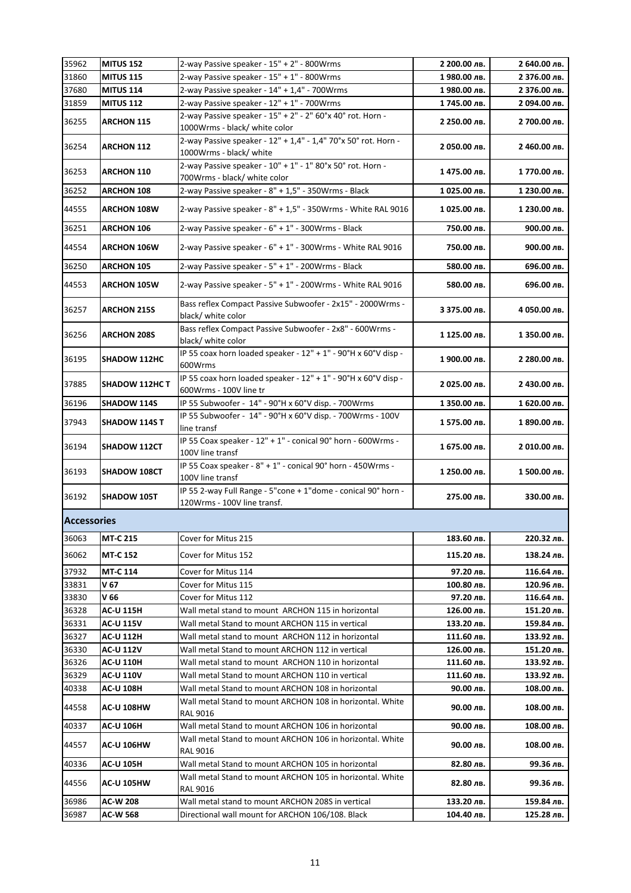| 35962              | <b>MITUS 152</b>    | 2-way Passive speaker - 15" + 2" - 800Wrms                                                   | 2 200.00 лв. | 2 640.00 лв. |
|--------------------|---------------------|----------------------------------------------------------------------------------------------|--------------|--------------|
| 31860              | <b>MITUS 115</b>    | 2-way Passive speaker - 15" + 1" - 800Wrms                                                   | 1980.00 лв.  | 2 376.00 лв. |
| 37680              | <b>MITUS 114</b>    | 2-way Passive speaker - 14" + 1,4" - 700Wrms                                                 | 1980.00 лв.  | 2 376.00 лв. |
| 31859              | <b>MITUS 112</b>    | 2-way Passive speaker - 12" + 1" - 700Wrms                                                   | 1745.00 лв.  | 2 094.00 лв. |
| 36255              | <b>ARCHON 115</b>   | 2-way Passive speaker - 15" + 2" - 2" 60°x 40° rot. Horn -<br>1000Wrms - black/ white color  | 2 250.00 лв. | 2 700.00 лв. |
| 36254              | <b>ARCHON 112</b>   | 2-way Passive speaker - 12" + 1,4" - 1,4" 70°x 50° rot. Horn -<br>1000Wrms - black/ white    | 2 050.00 лв. | 2 460.00 лв. |
| 36253              | <b>ARCHON 110</b>   | 2-way Passive speaker - 10" + 1" - 1" 80°x 50° rot. Horn -<br>700Wrms - black/ white color   | 1475.00 лв.  | 1770.00 лв.  |
| 36252              | <b>ARCHON 108</b>   | 2-way Passive speaker - 8" + 1,5" - 350Wrms - Black                                          | 1025.00 лв.  | 1 230.00 лв. |
| 44555              | <b>ARCHON 108W</b>  | 2-way Passive speaker - 8" + 1,5" - 350Wrms - White RAL 9016                                 | 1025.00 лв.  | 1 230.00 лв. |
| 36251              | <b>ARCHON 106</b>   | 2-way Passive speaker - 6" + 1" - 300Wrms - Black                                            | 750.00 лв.   | 900.00 лв.   |
| 44554              | <b>ARCHON 106W</b>  | 2-way Passive speaker - 6" + 1" - 300Wrms - White RAL 9016                                   | 750.00 лв.   | 900.00 лв.   |
| 36250              | <b>ARCHON 105</b>   | 2-way Passive speaker - 5" + 1" - 200Wrms - Black                                            | 580.00 лв.   | 696.00 лв.   |
| 44553              | <b>ARCHON 105W</b>  | 2-way Passive speaker - 5" + 1" - 200Wrms - White RAL 9016                                   | 580.00 лв.   | 696.00 лв.   |
| 36257              | <b>ARCHON 215S</b>  | Bass reflex Compact Passive Subwoofer - 2x15" - 2000Wrms -<br>black/ white color             | 3 375.00 лв. | 4 050.00 лв. |
| 36256              | <b>ARCHON 208S</b>  | Bass reflex Compact Passive Subwoofer - 2x8" - 600Wrms -<br>black/ white color               | 1 125.00 лв. | 1 350.00 лв. |
| 36195              | <b>SHADOW 112HC</b> | IP 55 coax horn loaded speaker - 12" + 1" - 90°H x 60°V disp -<br>600Wrms                    | 1 900.00 лв. | 2 280.00 лв. |
| 37885              | SHADOW 112HC T      | IP 55 coax horn loaded speaker - 12" + 1" - 90°H x 60°V disp -<br>600Wrms - 100V line tr     | 2 025.00 лв. | 2 430.00 лв. |
| 36196              | <b>SHADOW 114S</b>  | IP 55 Subwoofer - 14" - 90°H x 60°V disp. - 700Wrms                                          | 1 350.00 лв. | 1 620.00 лв. |
| 37943              | SHADOW 114S T       | IP 55 Subwoofer - 14" - 90°H x 60°V disp. - 700Wrms - 100V<br>line transf                    | 1575.00 лв.  | 1 890.00 лв. |
| 36194              | <b>SHADOW 112CT</b> | IP 55 Coax speaker - 12" + 1" - conical 90° horn - 600Wrms -<br>100V line transf             | 1 675.00 лв. | 2 010.00 лв. |
| 36193              | SHADOW 108CT        | IP 55 Coax speaker - 8" + 1" - conical 90° horn - 450Wrms -<br>100V line transf              | 1 250.00 лв. | 1 500.00 лв. |
| 36192              | SHADOW 105T         | IP 55 2-way Full Range - 5"cone + 1"dome - conical 90° horn -<br>120Wrms - 100V line transf. | 275.00 лв.   | 330.00 лв.   |
| <b>Accessories</b> |                     |                                                                                              |              |              |
| 36063              | <b>MT-C 215</b>     | Cover for Mitus 215                                                                          | 183.60 лв.   | 220.32 лв.   |
| 36062              | <b>MT-C 152</b>     | Cover for Mitus 152                                                                          | 115.20 лв.   | 138.24 лв.   |
| 37932              | <b>MT-C 114</b>     | Cover for Mitus 114                                                                          | 97.20 лв.    | 116.64 лв.   |
| 33831              | V 67                | Cover for Mitus 115                                                                          | 100.80 лв.   | 120.96 лв.   |
| 33830              | V 66                | Cover for Mitus 112                                                                          | 97.20 лв.    | 116.64 лв.   |
| 36328              | <b>AC-U 115H</b>    | Wall metal stand to mount ARCHON 115 in horizontal                                           | 126.00 лв.   | 151.20 лв.   |
| 36331              | <b>AC-U 115V</b>    | Wall metal Stand to mount ARCHON 115 in vertical                                             | 133.20 лв.   | 159.84 лв.   |
| 36327              | AC-U 112H           | Wall metal stand to mount ARCHON 112 in horizontal                                           | 111.60 лв.   | 133.92 лв.   |
| 36330              | <b>AC-U 112V</b>    | Wall metal Stand to mount ARCHON 112 in vertical                                             | 126.00 лв.   | 151.20 лв.   |
| 36326              | <b>AC-U 110H</b>    | Wall metal stand to mount ARCHON 110 in horizontal                                           | 111.60 лв.   | 133.92 лв.   |
| 36329              | <b>AC-U 110V</b>    | Wall metal Stand to mount ARCHON 110 in vertical                                             | 111.60 лв.   | 133.92 лв.   |
| 40338              | <b>AC-U 108H</b>    | Wall metal Stand to mount ARCHON 108 in horizontal                                           | 90.00 лв.    | 108.00 лв.   |
| 44558              | <b>AC-U 108HW</b>   | Wall metal Stand to mount ARCHON 108 in horizontal. White<br><b>RAL 9016</b>                 | 90.00 лв.    | 108.00 лв.   |
| 40337              | <b>AC-U 106H</b>    | Wall metal Stand to mount ARCHON 106 in horizontal                                           | 90.00 лв.    | 108.00 лв.   |
| 44557              | <b>AC-U 106HW</b>   | Wall metal Stand to mount ARCHON 106 in horizontal. White<br><b>RAL 9016</b>                 | 90.00 лв.    | 108.00 лв.   |
| 40336              | <b>AC-U 105H</b>    | Wall metal Stand to mount ARCHON 105 in horizontal                                           | 82.80 лв.    | 99.36 лв.    |
| 44556              | <b>AC-U 105HW</b>   | Wall metal Stand to mount ARCHON 105 in horizontal. White<br>RAL 9016                        | 82.80 лв.    | 99.36 лв.    |
| 36986              | AC-W 208            | Wall metal stand to mount ARCHON 208S in vertical                                            | 133.20 лв.   | 159.84 лв.   |
| 36987              | AC-W 568            | Directional wall mount for ARCHON 106/108. Black                                             | 104.40 лв.   | 125.28 лв.   |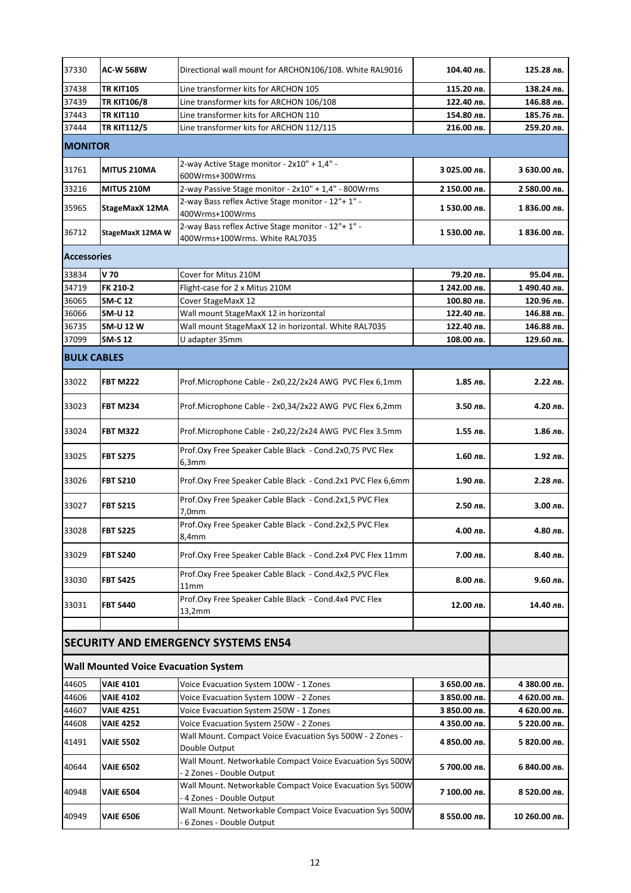| 37330              | <b>AC-W 568W</b>                            | Directional wall mount for ARCHON106/108. White RAL9016                                | 104.40 лв.   | 125.28 лв.    |  |  |
|--------------------|---------------------------------------------|----------------------------------------------------------------------------------------|--------------|---------------|--|--|
| 37438              | <b>TR KIT105</b>                            | Line transformer kits for ARCHON 105                                                   | 115.20 лв.   | 138.24 лв.    |  |  |
| 37439              | <b>TR KIT106/8</b>                          | Line transformer kits for ARCHON 106/108                                               | 122.40 лв.   | 146.88 лв.    |  |  |
| 37443              | <b>TR KIT110</b>                            | Line transformer kits for ARCHON 110                                                   | 154.80 лв.   | 185.76 лв.    |  |  |
| 37444              | TR KIT112/5                                 | Line transformer kits for ARCHON 112/115                                               | 216.00 лв.   | 259.20 лв.    |  |  |
| <b>MONITOR</b>     |                                             |                                                                                        |              |               |  |  |
| 31761              | <b>MITUS 210MA</b>                          | 2-way Active Stage monitor - 2x10" + 1,4" -<br>600Wrms+300Wrms                         | З 025.00 лв. | 3 630.00 лв.  |  |  |
| 33216              | <b>MITUS 210M</b>                           | 2-way Passive Stage monitor - 2x10" + 1,4" - 800Wrms                                   | 2 150.00 лв. | 2 580.00 лв.  |  |  |
| 35965              | StageMaxX 12MA                              | 2-way Bass reflex Active Stage monitor - 12"+ 1" -<br>400Wrms+100Wrms                  | 1 530.00 лв. | 1 836.00 лв.  |  |  |
| 36712              | StageMaxX 12MA W                            | 2-way Bass reflex Active Stage monitor - 12"+ 1" -<br>400Wrms+100Wrms. White RAL7035   | 1530.00 лв.  | 1 836.00 лв.  |  |  |
|                    | <b>Accessories</b>                          |                                                                                        |              |               |  |  |
| 33834              | V 70                                        | Cover for Mitus 210M                                                                   | 79.20 лв.    | 95.04 лв.     |  |  |
| 34719              | FK 210-2                                    | Flight-case for 2 x Mitus 210M                                                         | 1 242.00 лв. | 1490.40 лв.   |  |  |
| 36065              | <b>SM-C 12</b>                              | Cover StageMaxX 12                                                                     | 100.80 лв.   | 120.96 лв.    |  |  |
| 36066              | <b>SM-U 12</b>                              | Wall mount StageMaxX 12 in horizontal                                                  | 122.40 лв.   | 146.88 лв.    |  |  |
| 36735              | <b>SM-U 12 W</b>                            | Wall mount StageMaxX 12 in horizontal. White RAL7035                                   | 122.40 лв.   | 146.88 лв.    |  |  |
| 37099              | <b>SM-S12</b>                               | U adapter 35mm                                                                         | 108.00 лв.   | 129.60 лв.    |  |  |
| <b>BULK CABLES</b> |                                             |                                                                                        |              |               |  |  |
| 33022              | <b>FBT M222</b>                             | Prof.Microphone Cable - 2x0,22/2x24 AWG PVC Flex 6,1mm                                 | 1.85 лв.     | 2.22 лв.      |  |  |
| 33023              | <b>FBT M234</b>                             | Prof.Microphone Cable - 2x0,34/2x22 AWG PVC Flex 6,2mm                                 | 3.50 лв.     | 4.20 лв.      |  |  |
| 33024              | <b>FBT M322</b>                             | Prof.Microphone Cable - 2x0,22/2x24 AWG PVC Flex 3.5mm                                 | 1.55 лв.     | 1.86 лв.      |  |  |
| 33025              | <b>FBT S275</b>                             | Prof.Oxy Free Speaker Cable Black - Cond.2x0,75 PVC Flex<br>6,3mm                      | 1.60 лв.     | 1.92 лв.      |  |  |
| 33026              | <b>FBT S210</b>                             | Prof.Oxy Free Speaker Cable Black - Cond.2x1 PVC Flex 6,6mm                            | 1.90 лв.     | 2.28 лв.      |  |  |
| 33027              | <b>FBT S215</b>                             | Prof.Oxy Free Speaker Cable Black - Cond.2x1,5 PVC Flex<br>7,0mm                       | 2.50 лв.     | 3.00 лв.      |  |  |
| 33028              | <b>FBT S225</b>                             | Prof.Oxy Free Speaker Cable Black - Cond.2x2,5 PVC Flex<br>8,4mm                       | 4.00 лв.     | 4.80 лв.      |  |  |
| 33029              | <b>FBT S240</b>                             | Prof.Oxy Free Speaker Cable Black - Cond.2x4 PVC Flex 11mm                             | 7.00 лв.     | 8.40 лв.      |  |  |
| 33030              | <b>FBT S425</b>                             | Prof.Oxy Free Speaker Cable Black - Cond.4x2,5 PVC Flex<br>11mm                        | 8.00 лв.     | 9.60 лв.      |  |  |
| 33031              | <b>FBT S440</b>                             | Prof.Oxy Free Speaker Cable Black - Cond.4x4 PVC Flex<br>13,2mm                        | 12.00 лв.    | 14.40 лв.     |  |  |
|                    |                                             |                                                                                        |              |               |  |  |
|                    |                                             | <b>SECURITY AND EMERGENCY SYSTEMS EN54</b>                                             |              |               |  |  |
|                    | <b>Wall Mounted Voice Evacuation System</b> |                                                                                        |              |               |  |  |
| 44605              | <b>VAIE 4101</b>                            | Voice Evacuation System 100W - 1 Zones                                                 | 3 650.00 лв. | 4 380.00 лв.  |  |  |
| 44606              | <b>VAIE 4102</b>                            | Voice Evacuation System 100W - 2 Zones                                                 | 3 850.00 лв. | 4 620.00 лв.  |  |  |
| 44607              | <b>VAIE 4251</b>                            | Voice Evacuation System 250W - 1 Zones                                                 | 3 850.00 лв. | 4 620.00 лв.  |  |  |
| 44608              | <b>VAIE 4252</b>                            | Voice Evacuation System 250W - 2 Zones                                                 | 4 350.00 лв. | 5 220.00 лв.  |  |  |
| 41491              | <b>VAIE 5502</b>                            | Wall Mount. Compact Voice Evacuation Sys 500W - 2 Zones -<br>Double Output             | 4 850.00 лв. | 5 820.00 лв.  |  |  |
| 40644              | <b>VAIE 6502</b>                            | Wall Mount. Networkable Compact Voice Evacuation Sys 500W<br>- 2 Zones - Double Output | 5 700.00 лв. | 6 840.00 лв.  |  |  |
| 40948              | <b>VAIE 6504</b>                            | Wall Mount. Networkable Compact Voice Evacuation Sys 500W<br>- 4 Zones - Double Output | 7 100.00 лв. | 8 520.00 лв.  |  |  |
| 40949              | <b>VAIE 6506</b>                            | Wall Mount. Networkable Compact Voice Evacuation Sys 500W<br>6 Zones - Double Output   | 8 550.00 лв. | 10 260.00 лв. |  |  |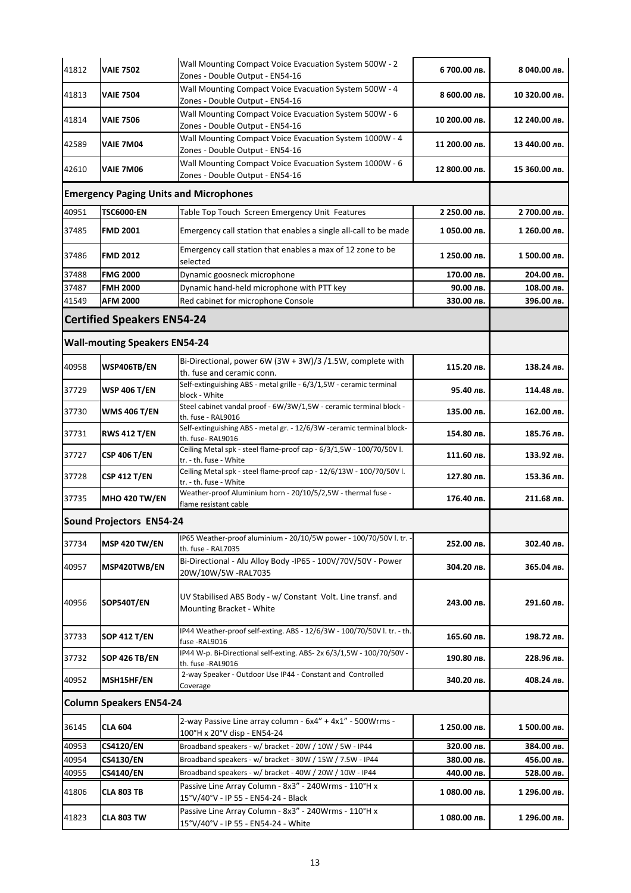| 41812 | <b>VAIE 7502</b>                     | Wall Mounting Compact Voice Evacuation System 500W - 2<br>Zones - Double Output - EN54-16      | 6 700.00 лв.  | 8 040.00 лв.  |
|-------|--------------------------------------|------------------------------------------------------------------------------------------------|---------------|---------------|
| 41813 | <b>VAIE 7504</b>                     | Wall Mounting Compact Voice Evacuation System 500W - 4<br>Zones - Double Output - EN54-16      | 8 600.00 лв.  | 10 320.00 лв. |
| 41814 | <b>VAIE 7506</b>                     | Wall Mounting Compact Voice Evacuation System 500W - 6<br>Zones - Double Output - EN54-16      | 10 200.00 лв. | 12 240.00 лв. |
| 42589 | VAIE 7M04                            | Wall Mounting Compact Voice Evacuation System 1000W - 4<br>Zones - Double Output - EN54-16     | 11 200.00 лв. | 13 440.00 лв. |
| 42610 | <b>VAIE 7M06</b>                     | Wall Mounting Compact Voice Evacuation System 1000W - 6<br>Zones - Double Output - EN54-16     | 12 800.00 лв. | 15 360.00 лв. |
|       |                                      | <b>Emergency Paging Units and Microphones</b>                                                  |               |               |
| 40951 | <b>TSC6000-EN</b>                    | Table Top Touch Screen Emergency Unit Features                                                 | 2 250.00 лв.  | 2 700.00 лв.  |
| 37485 | <b>FMD 2001</b>                      | Emergency call station that enables a single all-call to be made                               | 1050.00 лв.   | 1 260.00 лв.  |
| 37486 | <b>FMD 2012</b>                      | Emergency call station that enables a max of 12 zone to be<br>selected                         | 1 250.00 лв.  | 1 500.00 лв.  |
| 37488 | <b>FMG 2000</b>                      | Dynamic goosneck microphone                                                                    | 170.00 лв.    | 204.00 лв.    |
| 37487 | <b>FMH 2000</b>                      | Dynamic hand-held microphone with PTT key                                                      | 90.00 лв.     | 108.00 лв.    |
| 41549 | <b>AFM 2000</b>                      | Red cabinet for microphone Console                                                             | 330.00 лв.    | 396.00 лв.    |
|       | <b>Certified Speakers EN54-24</b>    |                                                                                                |               |               |
|       | <b>Wall-mouting Speakers EN54-24</b> |                                                                                                |               |               |
| 40958 | WSP406TB/EN                          | Bi-Directional, power 6W (3W + 3W)/3 /1.5W, complete with<br>th. fuse and ceramic conn.        | 115.20 лв.    | 138.24 лв.    |
| 37729 | WSP 406 T/EN                         | Self-extinguishing ABS - metal grille - 6/3/1,5W - ceramic terminal<br>block - White           | 95.40 лв.     | 114.48 лв.    |
| 37730 | <b>WMS 406 T/EN</b>                  | Steel cabinet vandal proof - 6W/3W/1,5W - ceramic terminal block -<br>th. fuse - RAL9016       | 135.00 лв.    | 162.00 лв.    |
| 37731 | <b>RWS 412 T/EN</b>                  | Self-extinguishing ABS - metal gr. - 12/6/3W -ceramic terminal block-<br>th. fuse- RAL9016     | 154.80 лв.    | 185.76 лв.    |
| 37727 | <b>CSP 406 T/EN</b>                  | Ceiling Metal spk - steel flame-proof cap - 6/3/1,5W - 100/70/50V l.<br>tr. - th. fuse - White | 111.60 лв.    | 133.92 лв.    |
| 37728 | CSP 412 T/EN                         | Ceiling Metal spk - steel flame-proof cap - 12/6/13W - 100/70/50V l.<br>tr. - th. fuse - White | 127.80 лв.    | 153.36 лв.    |
| 37735 | <b>MHO 420 TW/EN</b>                 | Weather-proof Aluminium horn - 20/10/5/2,5W - thermal fuse -<br>flame resistant cable          | 176.40 лв.    | 211.68 лв.    |
|       | <b>Sound Projectors EN54-24</b>      |                                                                                                |               |               |
| 37734 | <b>MSP 420 TW/EN</b>                 | IP65 Weather-proof aluminium - 20/10/5W power - 100/70/50V l. tr. -<br>th. fuse - RAL7035      | 252.00 лв.    | 302.40 лв.    |
| 40957 | MSP420TWB/EN                         | Bi-Directional - Alu Alloy Body -IP65 - 100V/70V/50V - Power<br>20W/10W/5W -RAL7035            | 304.20 лв.    | 365.04 лв.    |
| 40956 | SOP540T/EN                           | UV Stabilised ABS Body - w/ Constant Volt. Line transf. and<br>Mounting Bracket - White        | 243.00 лв.    | 291.60 лв.    |
| 37733 | SOP 412 T/EN                         | IP44 Weather-proof self-exting. ABS - 12/6/3W - 100/70/50V l. tr. - th.<br>fuse -RAL9016       | 165.60 лв.    | 198.72 лв.    |
| 37732 | SOP 426 TB/EN                        | IP44 W-p. Bi-Directional self-exting. ABS- 2x 6/3/1,5W - 100/70/50V -<br>th. fuse -RAL9016     | 190.80 лв.    | 228.96 лв.    |
| 40952 | MSH15HF/EN                           | 2-way Speaker - Outdoor Use IP44 - Constant and Controlled<br>Coverage                         | 340.20 лв.    | 408.24 лв.    |
|       | <b>Column Speakers EN54-24</b>       |                                                                                                |               |               |
| 36145 | <b>CLA 604</b>                       | 2-way Passive Line array column - 6x4" + 4x1" - 500Wrms -<br>100°H x 20°V disp - EN54-24       | 1 250.00 лв.  | 1 500.00 лв.  |
| 40953 | CS4120/EN                            | Broadband speakers - w/ bracket - 20W / 10W / 5W - IP44                                        | 320.00 лв.    | 384.00 лв.    |
| 40954 | <b>CS4130/EN</b>                     | Broadband speakers - w/ bracket - 30W / 15W / 7.5W - IP44                                      | 380.00 лв.    | 456.00 лв.    |
| 40955 | <b>CS4140/EN</b>                     | Broadband speakers - w/ bracket - 40W / 20W / 10W - IP44                                       | 440.00 лв.    | 528.00 лв.    |
| 41806 | <b>CLA 803 TB</b>                    | Passive Line Array Column - 8x3" - 240Wrms - 110°H x<br>15°V/40°V - IP 55 - EN54-24 - Black    | 1 080.00 лв.  | 1 296.00 лв.  |
| 41823 | <b>CLA 803 TW</b>                    | Passive Line Array Column - 8x3" - 240Wrms - 110°H x<br>15°V/40°V - IP 55 - EN54-24 - White    | 1 080.00 лв.  | 1 296.00 лв.  |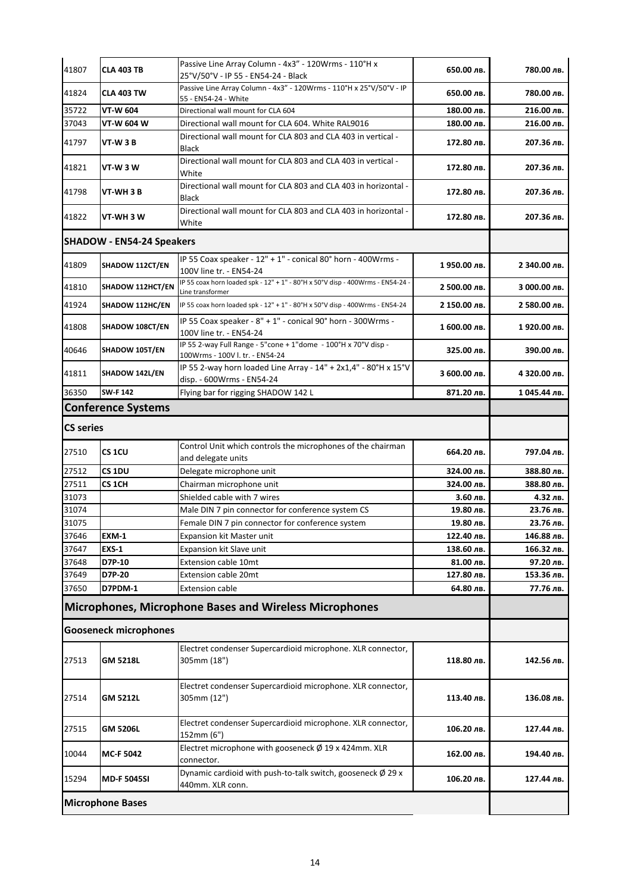| 41807            | <b>CLA 403 TB</b>                | Passive Line Array Column - 4x3" - 120Wrms - 110°H x<br>25°V/50°V - IP 55 - EN54-24 - Black        | 650.00 лв.   | 780.00 лв.   |
|------------------|----------------------------------|----------------------------------------------------------------------------------------------------|--------------|--------------|
| 41824            | <b>CLA 403 TW</b>                | Passive Line Array Column - 4x3" - 120Wrms - 110°H x 25°V/50°V - IP<br>55 - EN54-24 - White        | 650.00 лв.   | 780.00 лв.   |
| 35722            | <b>VT-W 604</b>                  | Directional wall mount for CLA 604                                                                 | 180.00 лв.   | 216.00 лв.   |
| 37043            | VT-W 604 W                       | Directional wall mount for CLA 604. White RAL9016                                                  | 180.00 лв.   | 216.00 лв.   |
| 41797            | VT-W 3 B                         | Directional wall mount for CLA 803 and CLA 403 in vertical -<br><b>Black</b>                       | 172.80 лв.   | 207.36 лв.   |
| 41821            | VT-W 3 W                         | Directional wall mount for CLA 803 and CLA 403 in vertical -<br>White                              | 172.80 лв.   | 207.36 лв.   |
| 41798            | VT-WH 3 B                        | Directional wall mount for CLA 803 and CLA 403 in horizontal -<br>Black                            | 172.80 лв.   | 207.36 лв.   |
| 41822            | VT-WH 3 W                        | Directional wall mount for CLA 803 and CLA 403 in horizontal -<br>White                            | 172.80 лв.   | 207.36 лв.   |
|                  | <b>SHADOW - EN54-24 Speakers</b> |                                                                                                    |              |              |
| 41809            | SHADOW 112CT/EN                  | IP 55 Coax speaker - 12" + 1" - conical 80° horn - 400Wrms -<br>100V line tr. - EN54-24            | 1950.00 лв.  | 2 340.00 лв. |
| 41810            | SHADOW 112HCT/EN                 | IP 55 coax horn loaded spk - 12" + 1" - 80°H x 50°V disp - 400Wrms - EN54-24 -<br>Line transformer | 2 500.00 лв. | 3 000.00 лв. |
| 41924            | SHADOW 112HC/EN                  | IP 55 coax horn loaded spk - 12" + 1" - 80°H x 50°V disp - 400Wrms - EN54-24                       | 2 150.00 лв. | 2 580.00 лв. |
| 41808            | SHADOW 108CT/EN                  | IP 55 Coax speaker - 8" + 1" - conical 90° horn - 300Wrms -<br>100V line tr. - EN54-24             | 1 600.00 лв. | 1920.00 лв.  |
| 40646            | SHADOW 105T/EN                   | IP 55 2-way Full Range - 5"cone + 1"dome - 100°H x 70°V disp -<br>100Wrms - 100V l. tr. - EN54-24  | 325.00 лв.   | 390.00 лв.   |
| 41811            | SHADOW 142L/EN                   | IP 55 2-way horn loaded Line Array - 14" + 2x1,4" - 80°H x 15°V<br>disp. - 600Wrms - EN54-24       | 3 600.00 лв. | 4 320.00 лв. |
| 36350            | <b>SW-F142</b>                   | Flying bar for rigging SHADOW 142 L                                                                | 871.20 лв.   | 1045.44 лв.  |
|                  | <b>Conference Systems</b>        |                                                                                                    |              |              |
| <b>CS series</b> |                                  |                                                                                                    |              |              |
| 27510            | CS <sub>1CU</sub>                | Control Unit which controls the microphones of the chairman<br>and delegate units                  | 664.20 лв.   | 797.04 лв.   |
| 27512            | CS <sub>1DU</sub>                | Delegate microphone unit                                                                           | 324.00 лв.   | 388.80 лв.   |
| 27511            | CS <sub>1</sub> CH               | Chairman microphone unit                                                                           | 324.00 лв.   | 388.80 лв.   |
| 31073            |                                  | Shielded cable with 7 wires                                                                        | 3.60 лв.     | 4.32 лв.     |
| 31074            |                                  | Male DIN 7 pin connector for conference system CS                                                  | 19.80 лв.    | 23.76 лв.    |
| 31075            |                                  | Female DIN 7 pin connector for conference system                                                   | 19.80 лв.    | 23.76 лв.    |
| 37646            | <b>EXM-1</b>                     | Expansion kit Master unit                                                                          | 122.40 лв.   | 146.88 лв.   |
| 37647            | EXS-1                            | Expansion kit Slave unit                                                                           | 138.60 лв.   | 166.32 лв.   |
| 37648            | D7P-10                           | <b>Extension cable 10mt</b>                                                                        | 81.00 лв.    | 97.20 лв.    |
| 37649            | D7P-20                           | <b>Extension cable 20mt</b>                                                                        | 127.80 лв.   | 153.36 лв.   |
| 37650            | D7PDM-1                          | <b>Extension cable</b>                                                                             | 64.80 лв.    | 77.76 лв.    |
|                  |                                  | <b>Microphones, Microphone Bases and Wireless Microphones</b>                                      |              |              |
|                  | <b>Gooseneck microphones</b>     |                                                                                                    |              |              |
| 27513            | GM 5218L                         | Electret condenser Supercardioid microphone. XLR connector,<br>305mm (18")                         | 118.80 лв.   | 142.56 лв.   |
| 27514            | GM 5212L                         | Electret condenser Supercardioid microphone. XLR connector,<br>305mm (12")                         | 113.40 лв.   | 136.08 лв.   |
| 27515            | GM 5206L                         | Electret condenser Supercardioid microphone. XLR connector,<br>152mm (6")                          | 106.20 лв.   | 127.44 лв.   |
| 10044            | <b>MC-F 5042</b>                 | Electret microphone with gooseneck $\emptyset$ 19 x 424mm. XLR<br>connector.                       | 162.00 лв.   | 194.40 лв.   |
| 15294            | <b>MD-F 5045SI</b>               | Dynamic cardioid with push-to-talk switch, gooseneck $\varnothing$ 29 x<br>440mm. XLR conn.        | 106.20 лв.   | 127.44 лв.   |
|                  | <b>Microphone Bases</b>          |                                                                                                    |              |              |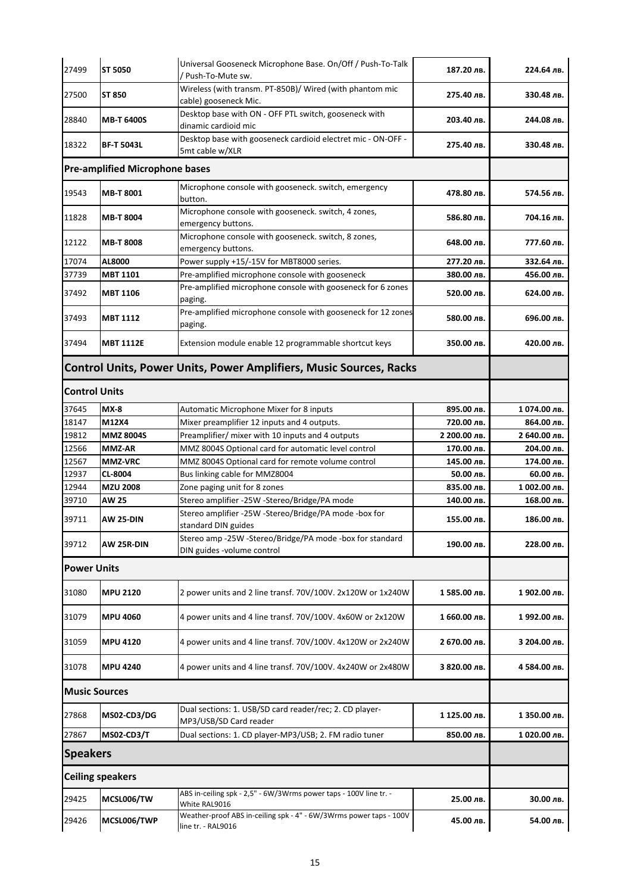| 27499                                                                     | <b>ST 5050</b>                        | Universal Gooseneck Microphone Base. On/Off / Push-To-Talk<br>Push-To-Mute sw.           | 187.20 лв.   | 224.64 лв.   |
|---------------------------------------------------------------------------|---------------------------------------|------------------------------------------------------------------------------------------|--------------|--------------|
| 27500                                                                     | ST 850                                | Wireless (with transm. PT-850B)/ Wired (with phantom mic<br>cable) gooseneck Mic.        | 275.40 лв.   | 330.48 лв.   |
| 28840                                                                     | <b>MB-T 6400S</b>                     | Desktop base with ON - OFF PTL switch, gooseneck with<br>dinamic cardioid mic            | 203.40 лв.   | 244.08 лв.   |
| 18322                                                                     | <b>BF-T 5043L</b>                     | Desktop base with gooseneck cardioid electret mic - ON-OFF -<br>5mt cable w/XLR          | 275.40 лв.   | 330.48 лв.   |
|                                                                           | <b>Pre-amplified Microphone bases</b> |                                                                                          |              |              |
| 19543                                                                     | <b>MB-T 8001</b>                      | Microphone console with gooseneck. switch, emergency<br>button.                          | 478.80 лв.   | 574.56 лв.   |
| 11828                                                                     | <b>MB-T 8004</b>                      | Microphone console with gooseneck. switch, 4 zones,<br>emergency buttons.                | 586.80 лв.   | 704.16 лв.   |
| 12122                                                                     | <b>MB-T 8008</b>                      | Microphone console with gooseneck. switch, 8 zones,<br>emergency buttons.                | 648.00 лв.   | 777.60 лв.   |
| 17074                                                                     | AL8000                                | Power supply +15/-15V for MBT8000 series.                                                | 277.20 лв.   | 332.64 лв.   |
| 37739                                                                     | <b>MBT 1101</b>                       | Pre-amplified microphone console with gooseneck                                          | 380.00 лв.   | 456.00 лв.   |
| 37492                                                                     | <b>MBT 1106</b>                       | Pre-amplified microphone console with gooseneck for 6 zones<br>paging.                   | 520.00 лв.   | 624.00 лв.   |
| 37493                                                                     | <b>MBT 1112</b>                       | Pre-amplified microphone console with gooseneck for 12 zones<br>paging.                  | 580.00 лв.   | 696.00 лв.   |
| 37494                                                                     | <b>MBT 1112E</b>                      | Extension module enable 12 programmable shortcut keys                                    | 350.00 лв.   | 420.00 лв.   |
| <b>Control Units, Power Units, Power Amplifiers, Music Sources, Racks</b> |                                       |                                                                                          |              |              |
| <b>Control Units</b>                                                      |                                       |                                                                                          |              |              |
| 37645                                                                     | $MX-8$                                | Automatic Microphone Mixer for 8 inputs                                                  | 895.00 лв.   | 1074.00 лв.  |
| 18147                                                                     | M12X4                                 | Mixer preamplifier 12 inputs and 4 outputs.                                              | 720.00 лв.   | 864.00 лв.   |
| 19812                                                                     | <b>MMZ 8004S</b>                      | Preamplifier/ mixer with 10 inputs and 4 outputs                                         | 2 200.00 лв. | 2 640.00 лв. |
| 12566                                                                     | <b>MMZ-AR</b>                         | MMZ 8004S Optional card for automatic level control                                      | 170.00 лв.   | 204.00 лв.   |
| 12567                                                                     | <b>MMZ-VRC</b>                        | MMZ 8004S Optional card for remote volume control                                        | 145.00 лв.   | 174.00 лв.   |
| 12937                                                                     | CL-8004                               | Bus linking cable for MMZ8004                                                            | 50.00 лв.    | 60.00 лв.    |
| 12944                                                                     | <b>MZU 2008</b>                       | Zone paging unit for 8 zones                                                             | 835.00 лв.   | 1 002.00 лв. |
| 39710                                                                     | <b>AW 25</b>                          | Stereo amplifier -25W -Stereo/Bridge/PA mode                                             | 140.00 лв.   | 168.00 лв.   |
| 39711                                                                     | AW 25-DIN                             | Stereo amplifier -25W -Stereo/Bridge/PA mode -box for<br>standard DIN guides             | 155.00 лв.   | 186.00 лв.   |
| 39712                                                                     | AW 25R-DIN                            | Stereo amp -25W -Stereo/Bridge/PA mode -box for standard<br>DIN guides -volume control   | 190.00 лв.   | 228.00 лв.   |
| <b>Power Units</b>                                                        |                                       |                                                                                          |              |              |
| 31080                                                                     | <b>MPU 2120</b>                       | 2 power units and 2 line transf. 70V/100V. 2x120W or 1x240W                              | 1585.00 лв.  | 1902.00 лв.  |
| 31079                                                                     | <b>MPU 4060</b>                       | 4 power units and 4 line transf. 70V/100V. 4x60W or 2x120W                               | 1 660.00 лв. | 1992.00 лв.  |
| 31059                                                                     | <b>MPU 4120</b>                       | 4 power units and 4 line transf. 70V/100V. 4x120W or 2x240W                              | 2 670.00 лв. | 3 204.00 лв. |
| 31078                                                                     | <b>MPU 4240</b>                       | 4 power units and 4 line transf. 70V/100V. 4x240W or 2x480W                              | 3 820.00 лв. | 4 584.00 лв. |
| <b>Music Sources</b>                                                      |                                       |                                                                                          |              |              |
| 27868                                                                     | MS02-CD3/DG                           | Dual sections: 1. USB/SD card reader/rec; 2. CD player-<br>MP3/USB/SD Card reader        | 1 125.00 лв. | 1 350.00 лв. |
| 27867                                                                     | <b>MS02-CD3/T</b>                     | Dual sections: 1. CD player-MP3/USB; 2. FM radio tuner                                   | 850.00 лв.   | 1020.00 лв.  |
| <b>Speakers</b>                                                           |                                       |                                                                                          |              |              |
|                                                                           | <b>Ceiling speakers</b>               |                                                                                          |              |              |
| 29425                                                                     | MCSL006/TW                            | ABS in-ceiling spk - 2,5" - 6W/3Wrms power taps - 100V line tr. -<br>White RAL9016       | 25.00 лв.    | 30.00 лв.    |
| 29426                                                                     | MCSL006/TWP                           | Weather-proof ABS in-ceiling spk - 4" - 6W/3Wrms power taps - 100V<br>line tr. - RAL9016 | 45.00 лв.    | 54.00 лв.    |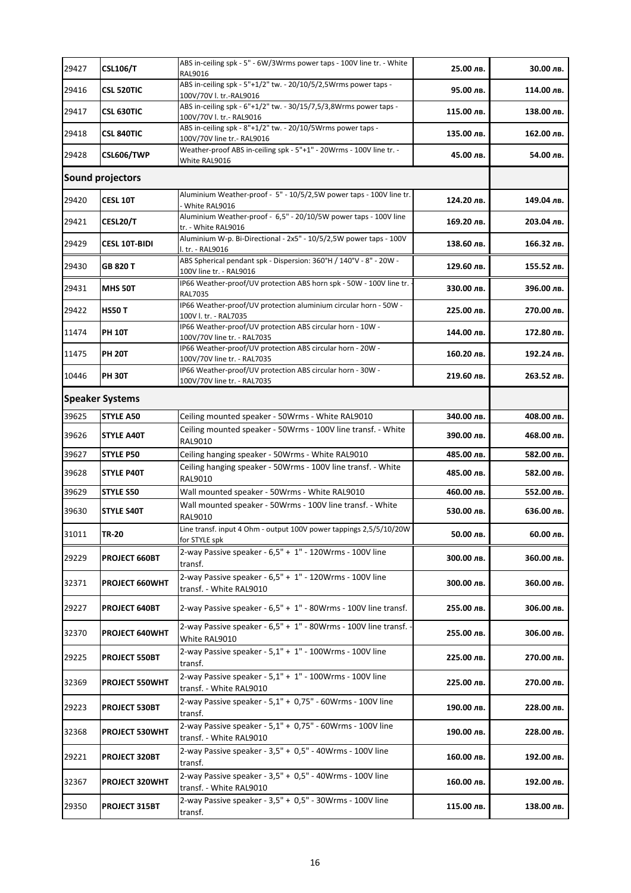| 29427                                                                                          | <b>CSL106/T</b>        | ABS in-ceiling spk - 5" - 6W/3Wrms power taps - 100V line tr. - White<br>RAL9016                  | 25.00 лв.  | 30.00 лв.  |
|------------------------------------------------------------------------------------------------|------------------------|---------------------------------------------------------------------------------------------------|------------|------------|
| 29416                                                                                          | <b>CSL 520TIC</b>      | ABS in-ceiling spk - 5"+1/2" tw. - 20/10/5/2,5Wrms power taps -<br>100V/70V l. tr.-RAL9016        | 95.00 лв.  | 114.00 лв. |
| 29417                                                                                          | <b>CSL 630TIC</b>      | ABS in-ceiling spk - 6"+1/2" tw. - 30/15/7,5/3,8Wrms power taps -<br>100V/70V l. tr.- RAL9016     | 115.00 лв. | 138.00 лв. |
| 29418                                                                                          | <b>CSL 840TIC</b>      | ABS in-ceiling spk - 8"+1/2" tw. - 20/10/5Wrms power taps -                                       | 135.00 лв. | 162.00 лв. |
| 29428                                                                                          | CSL606/TWP             | 100V/70V line tr.- RAL9016<br>Weather-proof ABS in-ceiling spk - 5"+1" - 20Wrms - 100V line tr. - | 45.00 лв.  | 54.00 лв.  |
|                                                                                                |                        | White RAL9016                                                                                     |            |            |
| <b>Sound projectors</b><br>Aluminium Weather-proof - 5" - 10/5/2,5W power taps - 100V line tr. |                        |                                                                                                   |            |            |
| 29420                                                                                          | <b>CESL 10T</b>        | White RAL9016                                                                                     | 124.20 лв. | 149.04 лв. |
| 29421                                                                                          | <b>CESL20/T</b>        | Aluminium Weather-proof - 6,5" - 20/10/5W power taps - 100V line<br>tr. - White RAL9016           | 169.20 лв. | 203.04 лв. |
| 29429                                                                                          | <b>CESL 10T-BIDI</b>   | Aluminium W-p. Bi-Directional - 2x5" - 10/5/2,5W power taps - 100V<br>l. tr. - RAL9016            | 138.60 лв. | 166.32 лв. |
| 29430                                                                                          | GB 820 T               | ABS Spherical pendant spk - Dispersion: 360°H / 140°V - 8" - 20W -<br>100V line tr. - RAL9016     | 129.60 лв. | 155.52 лв. |
| 29431                                                                                          | <b>MHS 50T</b>         | IP66 Weather-proof/UV protection ABS horn spk - 50W - 100V line tr.<br>RAL7035                    | 330.00 лв. | 396.00 лв. |
| 29422                                                                                          | <b>HS50 T</b>          | IP66 Weather-proof/UV protection aluminium circular horn - 50W -<br>100V l. tr. - RAL7035         | 225.00 лв. | 270.00 лв. |
| 11474                                                                                          | <b>PH 10T</b>          | IP66 Weather-proof/UV protection ABS circular horn - 10W -<br>100V/70V line tr. - RAL7035         | 144.00 лв. | 172.80 лв. |
| 11475                                                                                          | <b>PH 20T</b>          | IP66 Weather-proof/UV protection ABS circular horn - 20W -<br>100V/70V line tr. - RAL7035         | 160.20 лв. | 192.24 лв. |
| 10446                                                                                          | <b>PH 30T</b>          | IP66 Weather-proof/UV protection ABS circular horn - 30W -<br>100V/70V line tr. - RAL7035         | 219.60 лв. | 263.52 лв. |
|                                                                                                | <b>Speaker Systems</b> |                                                                                                   |            |            |
| 39625                                                                                          | <b>STYLE A50</b>       | Ceiling mounted speaker - 50Wrms - White RAL9010                                                  | 340.00 лв. | 408.00 лв. |
| 39626                                                                                          | <b>STYLE A40T</b>      | Ceiling mounted speaker - 50Wrms - 100V line transf. - White<br>RAL9010                           | 390.00 лв. | 468.00 лв. |
| 39627                                                                                          | <b>STYLE P50</b>       | Ceiling hanging speaker - 50Wrms - White RAL9010                                                  | 485.00 лв. | 582.00 лв. |
| 39628                                                                                          | <b>STYLE P40T</b>      | Ceiling hanging speaker - 50Wrms - 100V line transf. - White<br>RAL9010                           | 485.00 лв. | 582.00 лв. |
| 39629                                                                                          | <b>STYLE S50</b>       | Wall mounted speaker - 50Wrms - White RAL9010                                                     | 460.00 лв. | 552.00 лв. |
|                                                                                                |                        | Wall mounted speaker - 50Wrms - 100V line transf. - White                                         |            |            |
| 39630                                                                                          | <b>STYLE S40T</b>      | RAL9010                                                                                           | 530.00 лв. | 636.00 лв. |
| 31011                                                                                          | <b>TR-20</b>           | Line transf. input 4 Ohm - output 100V power tappings 2,5/5/10/20W<br>for STYLE spk               | 50.00 лв.  | 60.00 лв.  |
| 29229                                                                                          | PROJECT 660BT          | 2-way Passive speaker - 6,5" + 1" - 120Wrms - 100V line<br>transf.                                | 300.00 лв. | 360.00 лв. |
| 32371                                                                                          | PROJECT 660WHT         | 2-way Passive speaker - 6,5" + 1" - 120Wrms - 100V line<br>transf. - White RAL9010                | 300.00 лв. | 360.00 лв. |
| 29227                                                                                          | PROJECT 640BT          | 2-way Passive speaker - 6,5" + 1" - 80Wrms - 100V line transf.                                    | 255.00 лв. | 306.00 лв. |
| 32370                                                                                          | <b>PROJECT 640WHT</b>  | 2-way Passive speaker - 6,5" + 1" - 80Wrms - 100V line transf. -<br>White RAL9010                 | 255.00 лв. | 306.00 лв. |
| 29225                                                                                          | <b>PROJECT 550BT</b>   | 2-way Passive speaker - 5,1" + 1" - 100Wrms - 100V line<br>transf.                                | 225.00 лв. | 270.00 лв. |
| 32369                                                                                          | PROJECT 550WHT         | 2-way Passive speaker - 5,1" + 1" - 100Wrms - 100V line<br>transf. - White RAL9010                | 225.00 лв. | 270.00 лв. |
| 29223                                                                                          | <b>PROJECT 530BT</b>   | 2-way Passive speaker - 5,1" + 0,75" - 60Wrms - 100V line<br>transf.                              | 190.00 лв. | 228.00 лв. |
| 32368                                                                                          | <b>PROJECT 530WHT</b>  | 2-way Passive speaker - 5,1" + 0,75" - 60Wrms - 100V line                                         | 190.00 лв. | 228.00 лв. |
| 29221                                                                                          | PROJECT 320BT          | transf. - White RAL9010<br>2-way Passive speaker - 3,5" + 0,5" - 40Wrms - 100V line               | 160.00 лв. | 192.00 лв. |
|                                                                                                |                        | transf.<br>2-way Passive speaker - 3,5" + 0,5" - 40Wrms - 100V line                               |            |            |
| 32367                                                                                          | <b>PROJECT 320WHT</b>  | transf. - White RAL9010                                                                           | 160.00 лв. | 192.00 лв. |
| 29350                                                                                          | <b>PROJECT 315BT</b>   | 2-way Passive speaker - 3,5" + 0,5" - 30Wrms - 100V line<br>transf.                               | 115.00 лв. | 138.00 лв. |